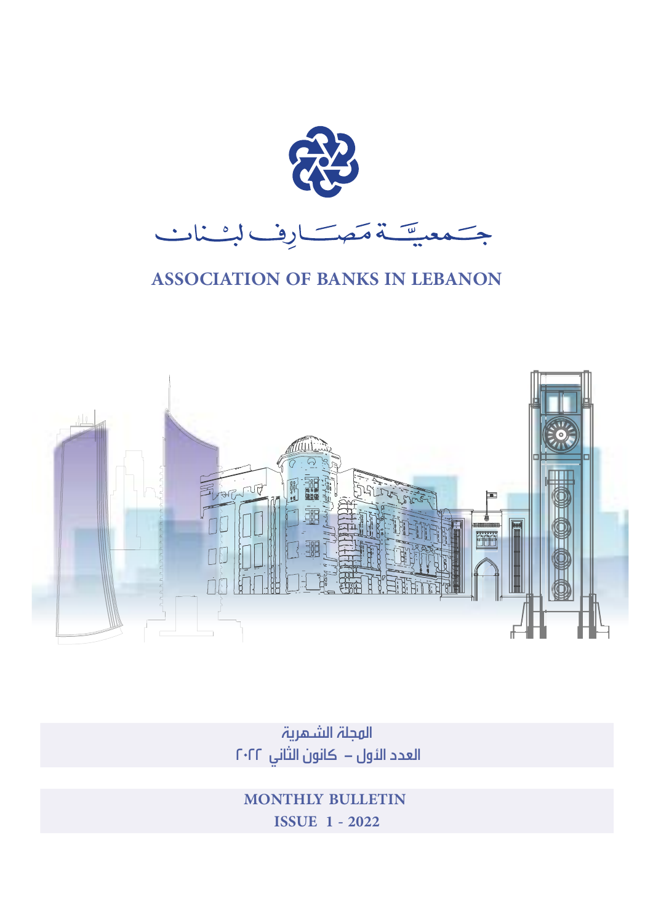

### **ASSOCIATION OF BANKS IN LEBANON**



المجلة الشهرية العدد الئول – كانون الثاني ٢٠٢٢

 **MONTHLY BULLETIN ISSUE 1 - 2022**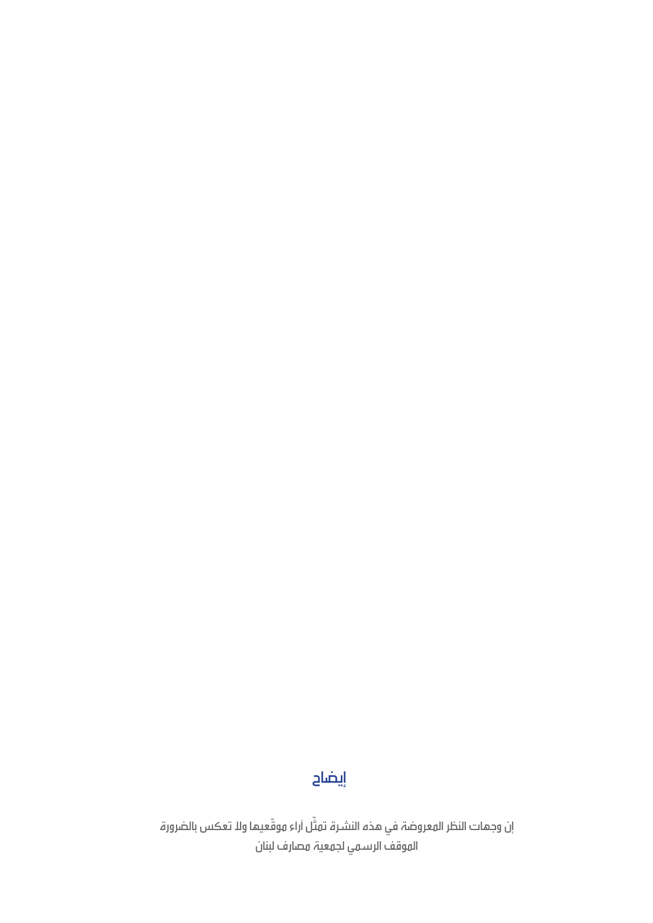### إيضاح

إن وجمات النظر المعروضة في هذه النشرة تمثل أراء موقّعيما ولا تعكس بالضرورة ّ الموقف الرسمي لجمعية مصارف لبنان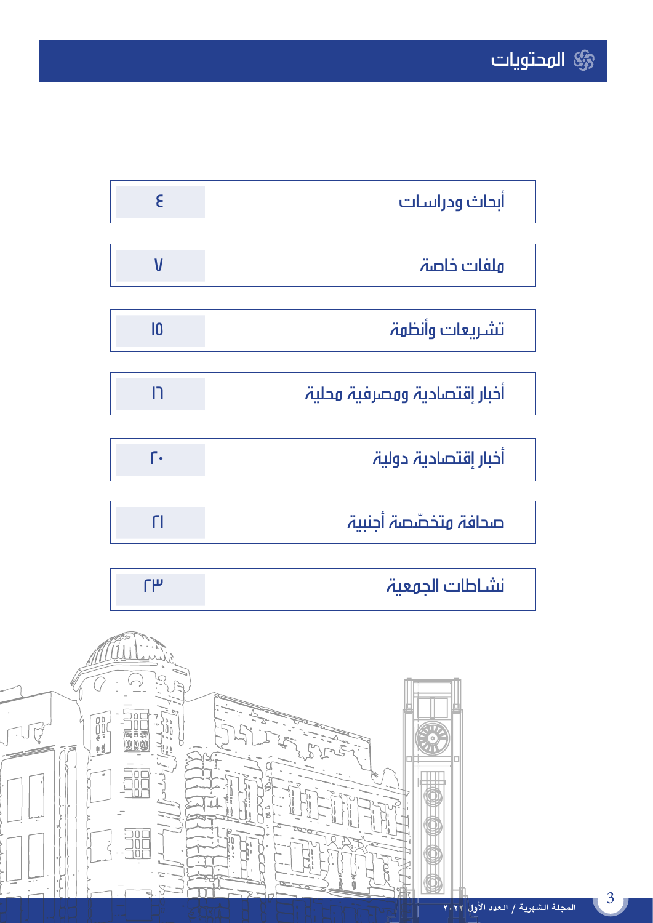| E               | ابحاث ودراسات                |
|-----------------|------------------------------|
|                 |                              |
| $\mathsf{V}$    | ملفات خاصة                   |
|                 |                              |
| $\overline{10}$ | تشريعات وأنظهة               |
|                 |                              |
| רו              | أخبار إقتصادية ومصرفية محلية |
|                 |                              |
| ſ٠              | أخبار إقتصادية دولية         |
|                 |                              |
| ٢I              | صحافة متخصّصة أجنبية         |

| نشاطات الحوعية |
|----------------|
|                |

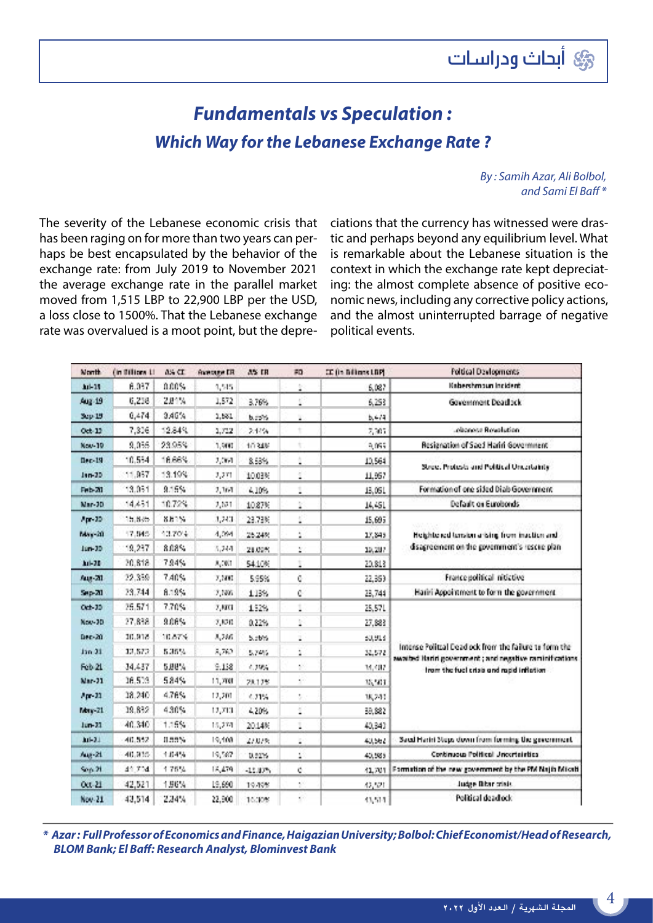### *Fundamentals vs Speculation : Which Way for the Lebanese Exchange Rate ?*

*By : Samih Azar, Ali Bolbol, and Sami El Baff \**

The severity of the Lebanese economic crisis that has been raging on for more than two years can perhaps be best encapsulated by the behavior of the exchange rate: from July 2019 to November 2021 the average exchange rate in the parallel market moved from 1,515 LBP to 22,900 LBP per the USD, a loss close to 1500%. That the Lebanese exchange rate was overvalued is a moot point, but the depreciations that the currency has witnessed were drastic and perhaps beyond any equilibrium level. What is remarkable about the Lebanese situation is the context in which the exchange rate kept depreciating: the almost complete absence of positive economic news, including any corrective policy actions, and the almost uninterrupted barrage of negative political events.

| North         | fin Billions Li | 8% CD       | <b>GANGER CR</b>             | <b>A% IR</b> | 80                     | CC (in Billians LBP) | <b>Foltical Devlooments</b>                                                                                         |  |
|---------------|-----------------|-------------|------------------------------|--------------|------------------------|----------------------|---------------------------------------------------------------------------------------------------------------------|--|
| <b>Ari</b> 15 | 6.037           | 0.00%       | 3,515                        |              | ž.                     | 6,087                | Kabershmoun incident                                                                                                |  |
| Aug 19        | 6.218           | 2.84%       | 1,572                        | 3.76%        | ś,                     | 6.253                | Governors Deadlack                                                                                                  |  |
| Sep 19        | 0.474           | 3,46%       | 1,531                        | 5.72%        | ä                      | 5.4/4                |                                                                                                                     |  |
| $Oct$ -11     | 7,306           | 12,84%      | 1,712                        | 2.14%        |                        | 2,307                | rollonoise Rosalistiani                                                                                             |  |
| Nov-19        | 9,086           | 23.95%      | 1,900                        | 1034%        | ń,                     | $9.05\%$             | Resignation of Saed Hariri Government                                                                               |  |
| $Bec-19$      | 10.534          | 16.66%      | 2,000                        | 8,53%        | Ì,                     | 10,564               | Street Protests and Political Uncertainty                                                                           |  |
| $100 - 30$    | 11,937          | 13.199      | $\mathcal{I}_i(\mathcal{I})$ | 1003%        | Ì,                     | 11,957               |                                                                                                                     |  |
| Feb-20        | 13.031          | 9.15%       | 2,364                        | 4.10%        | $\label{eq:1}$         | 13.05L               | Formation of one sided Diab Government                                                                              |  |
| Mar-30        | 14.451          | 10.72%      | 7,571                        | 10.87%       | r                      | 14,451               | Default on Eurobonds                                                                                                |  |
| $An-22$       | 15.8%           | <b>NH1%</b> | 3,243                        | 23,73%       | Í,                     | 15,695               |                                                                                                                     |  |
| Max-20        | 17.045          | 13,70%      | 4,094                        | 25.24%       | ċ,                     | 17,845               | Heightened tension a blind from inaction and                                                                        |  |
| Jun-20        | 12,237          | 8.08%       | 3.244                        | 21,09%       | ž.                     | 19, 207              | disagreement on the government's rescue plan.                                                                       |  |
| $34 - 28$     | 20,818          | 7.94%       | 3,001                        | 5410%        | j,                     | 20,813               |                                                                                                                     |  |
| Aug 20        | 22.339          | 7,40%       | 7,500                        | 595%         | ò                      | 22,353               | France political ritictive                                                                                          |  |
| Sec-20        | 23.744          | 8.19%       | 7,506                        | 1.13%        | Ċ                      | 23,744               | Hailri Acocimment to form the covernment                                                                            |  |
| O(b,30)       | 25.571          | 7.70%       | 7,801                        | 152%         | $\bar{1}$              | 25,571               |                                                                                                                     |  |
| Nov-30        | 27.838          | 306%        | 7,820                        | 0.22%        | ì.                     | 27,683               |                                                                                                                     |  |
| Dec-20        | 30.918          | 10.67%      | 3,246                        | 5.56%        | j,                     | 50,515               |                                                                                                                     |  |
| Jan 31        | 33.573          | 5,35%       | 3,762                        | 5,74%        | ż,                     | 32,572               | Intense Politzal Dead ock from the failure to form the<br>awaited iteriri government ; and negative raminifications |  |
| 6:N21         | 34,457          | 5.88%       | 9.138                        | 4,39%        | Ŷ.                     | 34,487               | from the fuel crisis and rapid inflation                                                                            |  |
| Mar-21        | 16,519          | 584%        | 11,700                       | 28.12%       | à.                     | 35,503               |                                                                                                                     |  |
| $An-33$       | 38.240          | 476%        | 12,201                       | 4.21%        | t)                     | 38,243               |                                                                                                                     |  |
| Max-21        | 39.8%           | 430%        | 12,713                       | 4.20%        | š.                     | 38,882               |                                                                                                                     |  |
| $km-22$       | 40.340          | 1.15%       | 15,274                       | 2014%        | Ì,                     | 40,340               |                                                                                                                     |  |
| $10 - 31$     | $-40.552$       | 0.55%       | 19,408                       | 273195       | g)                     | 40,562               | Saud Härini Steus down from forming the severnment.                                                                 |  |
| Aug-21        | 40.935          | 104%        | 19,567                       | 0.52%        | Í.                     | 40.585               | Continuous Political Uncortainties                                                                                  |  |
| 900.21        | 44,704          | 1.76%       | 15,479                       | $-13.83\%$   | C.                     | 41.701               | Formation of the new government by the PM Najih Micrit                                                              |  |
| O(1.21)       | 42.521          | 186%        | 19,690                       | 19.49%       | $\mathcal{C}^{\prime}$ | 42,521               | Judge Bibar crisis                                                                                                  |  |
| Nov. 21       | 43.514          | 234%        | 22,900                       | 10.30%       | $\epsilon$ .           | 43,514               | Political dead ock                                                                                                  |  |

*\* Azar : Full Professor of Economics and Finance, Haigazian University; Bolbol: Chief Economist/Head of Research, BLOM Bank; El Baff: Research Analyst, Blominvest Bank*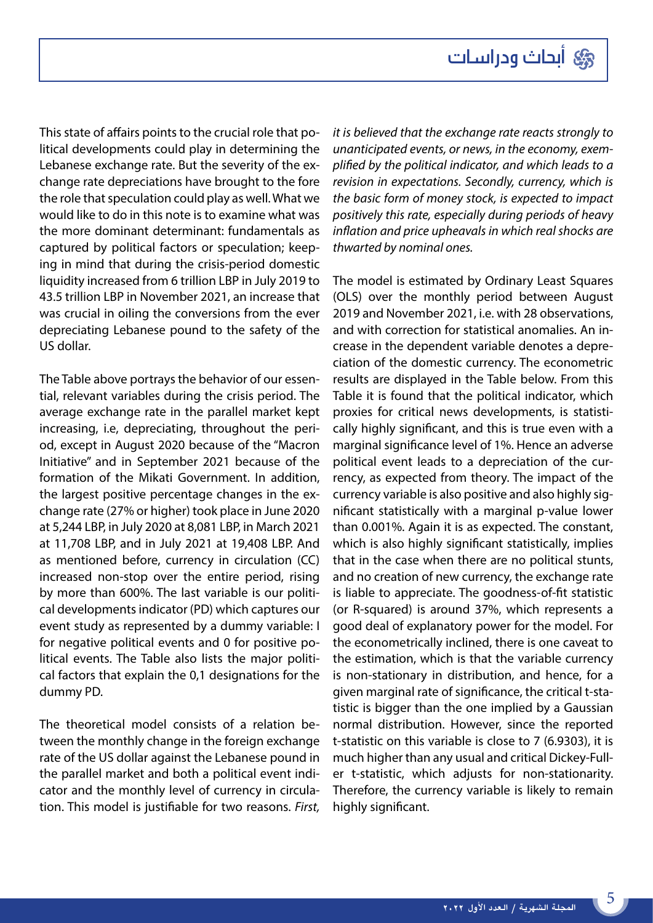This state of affairs points to the crucial role that political developments could play in determining the Lebanese exchange rate. But the severity of the exchange rate depreciations have brought to the fore the role that speculation could play as well. What we would like to do in this note is to examine what was the more dominant determinant: fundamentals as captured by political factors or speculation; keeping in mind that during the crisis-period domestic liquidity increased from 6 trillion LBP in July 2019 to 43.5 trillion LBP in November 2021, an increase that was crucial in oiling the conversions from the ever depreciating Lebanese pound to the safety of the US dollar.

The Table above portrays the behavior of our essential, relevant variables during the crisis period. The average exchange rate in the parallel market kept increasing, i.e, depreciating, throughout the period, except in August 2020 because of the "Macron Initiative" and in September 2021 because of the formation of the Mikati Government. In addition, the largest positive percentage changes in the exchange rate (27% or higher) took place in June 2020 at 5,244 LBP, in July 2020 at 8,081 LBP, in March 2021 at 11,708 LBP, and in July 2021 at 19,408 LBP. And as mentioned before, currency in circulation (CC) increased non-stop over the entire period, rising by more than 600%. The last variable is our political developments indicator (PD) which captures our event study as represented by a dummy variable: I for negative political events and 0 for positive political events. The Table also lists the major political factors that explain the 0,1 designations for the dummy PD.

The theoretical model consists of a relation between the monthly change in the foreign exchange rate of the US dollar against the Lebanese pound in the parallel market and both a political event indicator and the monthly level of currency in circulation. This model is justifiable for two reasons. *First,* 

*it is believed that the exchange rate reacts strongly to unanticipated events, or news, in the economy, exemplified by the political indicator, and which leads to a revision in expectations. Secondly, currency, which is the basic form of money stock, is expected to impact positively this rate, especially during periods of heavy inflation and price upheavals in which real shocks are thwarted by nominal ones.* 

The model is estimated by Ordinary Least Squares (OLS) over the monthly period between August 2019 and November 2021, i.e. with 28 observations, and with correction for statistical anomalies. An increase in the dependent variable denotes a depreciation of the domestic currency. The econometric results are displayed in the Table below. From this Table it is found that the political indicator, which proxies for critical news developments, is statistically highly significant, and this is true even with a marginal significance level of 1%. Hence an adverse political event leads to a depreciation of the currency, as expected from theory. The impact of the currency variable is also positive and also highly significant statistically with a marginal p-value lower than 0.001%. Again it is as expected. The constant, which is also highly significant statistically, implies that in the case when there are no political stunts, and no creation of new currency, the exchange rate is liable to appreciate. The goodness-of-fit statistic (or R-squared) is around 37%, which represents a good deal of explanatory power for the model. For the econometrically inclined, there is one caveat to the estimation, which is that the variable currency is non-stationary in distribution, and hence, for a given marginal rate of significance, the critical t-statistic is bigger than the one implied by a Gaussian normal distribution. However, since the reported t-statistic on this variable is close to 7 (6.9303), it is much higher than any usual and critical Dickey-Fuller t-statistic, which adjusts for non-stationarity. Therefore, the currency variable is likely to remain highly significant.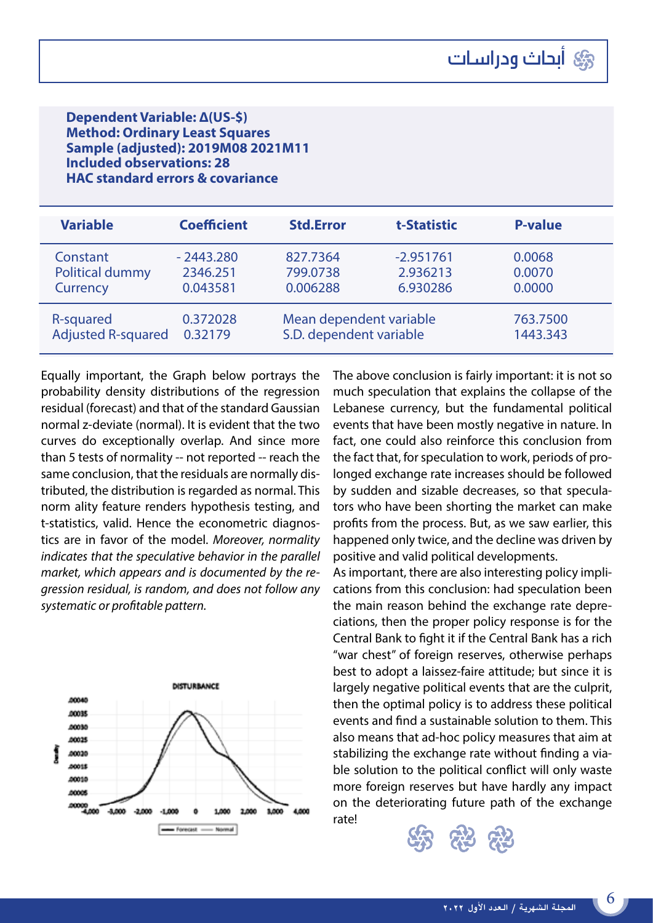#### **Dependent Variable: Δ(US-\$) Method: Ordinary Least Squares Sample (adjusted): 2019M08 2021M11 Included observations: 28 HAC standard errors & covariance**

| <b>Variable</b>           | <b>Coefficient</b> | <b>Std.Error</b>        | t-Statistic | <b>P-value</b> |
|---------------------------|--------------------|-------------------------|-------------|----------------|
| Constant                  | $-2443.280$        | 827.7364                | $-2.951761$ | 0.0068         |
| <b>Political dummy</b>    | 2346.251           | 799.0738                | 2.936213    | 0.0070         |
| Currency                  | 0.043581           | 0.006288                | 6.930286    | 0.0000         |
| R-squared                 | 0.372028           | Mean dependent variable | 763.7500    |                |
| <b>Adjusted R-squared</b> | 0.32179            | S.D. dependent variable | 1443.343    |                |

Equally important, the Graph below portrays the probability density distributions of the regression residual (forecast) and that of the standard Gaussian normal z-deviate (normal). It is evident that the two curves do exceptionally overlap. And since more than 5 tests of normality -- not reported -- reach the same conclusion, that the residuals are normally distributed, the distribution is regarded as normal. This norm ality feature renders hypothesis testing, and t-statistics, valid. Hence the econometric diagnostics are in favor of the model. *Moreover, normality indicates that the speculative behavior in the parallel market, which appears and is documented by the regression residual, is random, and does not follow any systematic or profitable pattern.*



The above conclusion is fairly important: it is not so much speculation that explains the collapse of the Lebanese currency, but the fundamental political events that have been mostly negative in nature. In fact, one could also reinforce this conclusion from the fact that, for speculation to work, periods of prolonged exchange rate increases should be followed by sudden and sizable decreases, so that speculators who have been shorting the market can make profits from the process. But, as we saw earlier, this happened only twice, and the decline was driven by positive and valid political developments.

As important, there are also interesting policy implications from this conclusion: had speculation been the main reason behind the exchange rate depreciations, then the proper policy response is for the Central Bank to fight it if the Central Bank has a rich "war chest" of foreign reserves, otherwise perhaps best to adopt a laissez-faire attitude; but since it is largely negative political events that are the culprit, then the optimal policy is to address these political events and find a sustainable solution to them. This also means that ad-hoc policy measures that aim at stabilizing the exchange rate without finding a viable solution to the political conflict will only waste more foreign reserves but have hardly any impact on the deteriorating future path of the exchange rate!

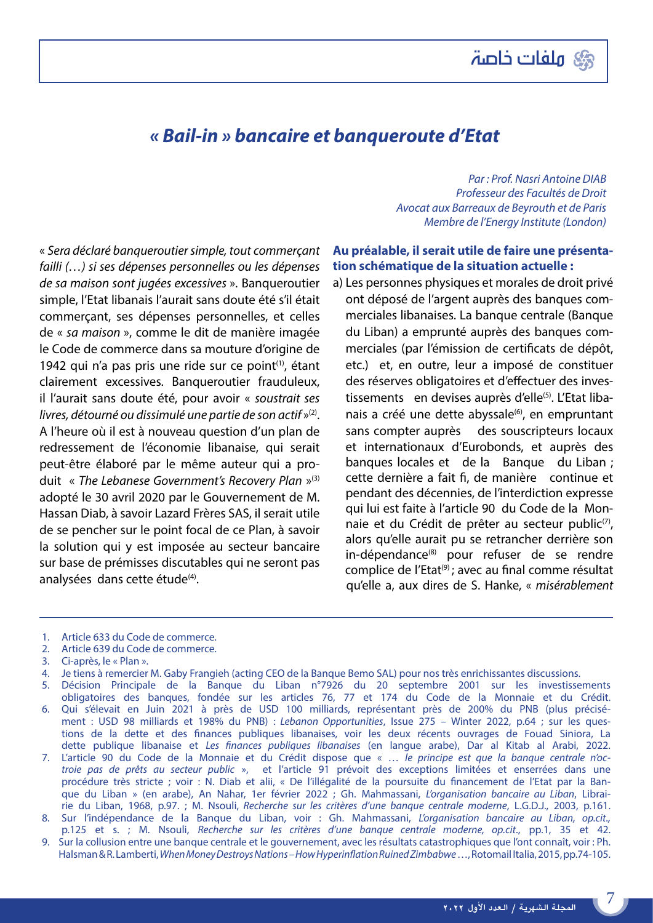

#### *« Bail-in » bancaire et banqueroute d'Etat*

« *Sera déclaré banqueroutier simple, tout commerçant failli (…) si ses dépenses personnelles ou les dépenses de sa maison sont jugées excessives* ». Banqueroutier simple, l'Etat libanais l'aurait sans doute été s'il était commerçant, ses dépenses personnelles, et celles de « *sa maison* », comme le dit de manière imagée le Code de commerce dans sa mouture d'origine de 1942 qui n'a pas pris une ride sur ce point<sup>(1)</sup>, étant clairement excessives. Banqueroutier frauduleux, il l'aurait sans doute été, pour avoir « *soustrait ses livres, détourné ou dissimulé une partie de son actif* »(2). A l'heure où il est à nouveau question d'un plan de redressement de l'économie libanaise, qui serait peut-être élaboré par le même auteur qui a produit « *The Lebanese Government's Recovery Plan* »(3) adopté le 30 avril 2020 par le Gouvernement de M. Hassan Diab, à savoir Lazard Frères SAS, il serait utile de se pencher sur le point focal de ce Plan, à savoir la solution qui y est imposée au secteur bancaire sur base de prémisses discutables qui ne seront pas analysées dans cette étude<sup>(4)</sup>.

 *Par : Prof. Nasri Antoine DIAB Professeur des Facultés de Droit Avocat aux Barreaux de Beyrouth et de Paris Membre de l'Energy Institute (London)*

#### **Au préalable, il serait utile de faire une présentation schématique de la situation actuelle :**

a) Les personnes physiques et morales de droit privé ont déposé de l'argent auprès des banques commerciales libanaises. La banque centrale (Banque du Liban) a emprunté auprès des banques commerciales (par l'émission de certificats de dépôt, etc.) et, en outre, leur a imposé de constituer des réserves obligatoires et d'effectuer des investissements en devises auprès d'elle<sup>(5)</sup>. L'Etat libanais a créé une dette abyssale<sup>(6)</sup>, en empruntant sans compter auprès des souscripteurs locaux et internationaux d'Eurobonds, et auprès des banques locales et de la Banque du Liban ; cette dernière a fait fi, de manière continue et pendant des décennies, de l'interdiction expresse qui lui est faite à l'article 90 du Code de la Monnaie et du Crédit de prêter au secteur public<sup>(7)</sup>, alors qu'elle aurait pu se retrancher derrière son in-dépendance<sup>(8)</sup> pour refuser de se rendre complice de l'Etat<sup>(9)</sup>; avec au final comme résultat qu'elle a, aux dires de S. Hanke, « *misérablement*

- 2. Article 639 du Code de commerce.
- 3. Ci-après, le « Plan ».
- 4. Je tiens à remercier M. Gaby Frangieh (acting CEO de la Banque Bemo SAL) pour nos très enrichissantes discussions.
- 5. Décision Principale de la Banque du Liban n°7926 du 20 septembre 2001 sur les investissements obligatoires des banques, fondée sur les articles 76, 77 et 174 du Code de la Monnaie et du Crédit. 6. Qui s'élevait en Juin 2021 à près de USD 100 milliards, représentant près de 200% du PNB (plus précisément : USD 98 milliards et 198% du PNB) : *Lebanon Opportunities*, Issue 275 – Winter 2022, p.64 ; sur les ques-
- tions de la dette et des finances publiques libanaises, voir les deux récents ouvrages de Fouad Siniora, La dette publique libanaise et *Les finances publiques libanaises* (en langue arabe), Dar al Kitab al Arabi, 2022. 7. L'article 90 du Code de la Monnaie et du Crédit dispose que « … *le principe est que la banque centrale n'octroie pas de prêts au secteur public* », et l'article 91 prévoit des exceptions limitées et enserrées dans une
- procédure très stricte ; voir : N. Diab et alii, « De l'illégalité de la poursuite du financement de l'Etat par la Banque du Liban » (en arabe), An Nahar, 1er février 2022 ; Gh. Mahmassani, *L'organisation bancaire au Liban*, Librairie du Liban, 1968, p.97. ; M. Nsouli, *Recherche sur les critères d'une banque centrale moderne*, L.G.D.J., 2003, p.161.
- 8. Sur l'indépendance de la Banque du Liban, voir : Gh. Mahmassani, *L'organisation bancaire au Liban, op.cit.,* p.125 et s. ; M. Nsouli, *Recherche sur les critères d'une banque centrale moderne, op.cit*., pp.1, 35 et 42.
- 9. Sur la collusion entre une banque centrale et le gouvernement, avec les résultats catastrophiques que l'ont connaît, voir : Ph. Halsman & R. Lamberti, *When Money Destroys Nations – How Hyperinflation Ruined Zimbabwe* …, Rotomail Italia, 2015, pp.74-105.

7

<sup>1.</sup> Article 633 du Code de commerce.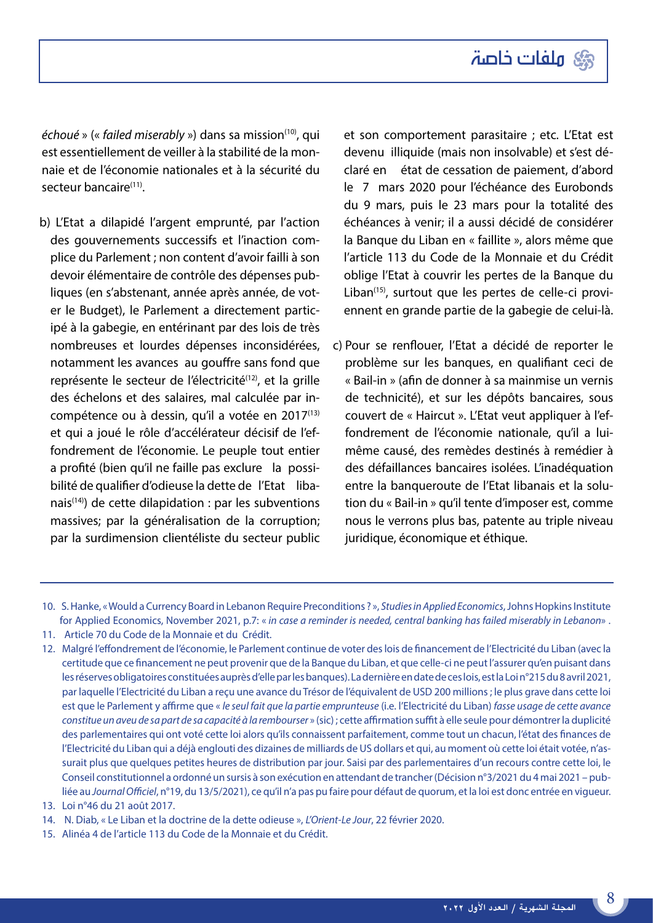

*échoué* » (« *failed miserably* ») dans sa mission(10), qui est essentiellement de veiller à la stabilité de la monnaie et de l'économie nationales et à la sécurité du secteur bancaire<sup>(11)</sup>.

b) L'Etat a dilapidé l'argent emprunté, par l'action des gouvernements successifs et l'inaction complice du Parlement ; non content d'avoir failli à son devoir élémentaire de contrôle des dépenses publiques (en s'abstenant, année après année, de voter le Budget), le Parlement a directement participé à la gabegie, en entérinant par des lois de très nombreuses et lourdes dépenses inconsidérées, notamment les avances au gouffre sans fond que représente le secteur de l'électricité<sup>(12)</sup>, et la grille des échelons et des salaires, mal calculée par incompétence ou à dessin, qu'il a votée en 2017(13) et qui a joué le rôle d'accélérateur décisif de l'effondrement de l'économie. Le peuple tout entier a profité (bien qu'il ne faille pas exclure la possibilité de qualifier d'odieuse la dette de l'Etat libanais<sup> $(14)$ </sup>) de cette dilapidation : par les subventions massives; par la généralisation de la corruption; par la surdimension clientéliste du secteur public et son comportement parasitaire ; etc. L'Etat est devenu illiquide (mais non insolvable) et s'est déclaré en état de cessation de paiement, d'abord le 7 mars 2020 pour l'échéance des Eurobonds du 9 mars, puis le 23 mars pour la totalité des échéances à venir; il a aussi décidé de considérer la Banque du Liban en « faillite », alors même que l'article 113 du Code de la Monnaie et du Crédit oblige l'Etat à couvrir les pertes de la Banque du Liban $(15)$ , surtout que les pertes de celle-ci proviennent en grande partie de la gabegie de celui-là.

c) Pour se renflouer, l'Etat a décidé de reporter le problème sur les banques, en qualifiant ceci de « Bail-in » (afin de donner à sa mainmise un vernis de technicité), et sur les dépôts bancaires, sous couvert de « Haircut ». L'Etat veut appliquer à l'effondrement de l'économie nationale, qu'il a luimême causé, des remèdes destinés à remédier à des défaillances bancaires isolées. L'inadéquation entre la banqueroute de l'Etat libanais et la solution du « Bail-in » qu'il tente d'imposer est, comme nous le verrons plus bas, patente au triple niveau juridique, économique et éthique.

- 13. Loi n°46 du 21 août 2017.
- 14. N. Diab, « Le Liban et la doctrine de la dette odieuse », *L'Orient-Le Jour*, 22 février 2020.
- 15. Alinéa 4 de l'article 113 du Code de la Monnaie et du Crédit.

<sup>10.</sup> S. Hanke, « Would a Currency Board in Lebanon Require Preconditions ? », *Studies in Applied Economics*, Johns Hopkins Institute for Applied Economics, November 2021, p.7: « *in case a reminder is needed, central banking has failed miserably in Lebanon*» .

<sup>11.</sup> Article 70 du Code de la Monnaie et du Crédit.

<sup>12.</sup> Malgré l'effondrement de l'économie, le Parlement continue de voter des lois de financement de l'Electricité du Liban (avec la certitude que ce financement ne peut provenir que de la Banque du Liban, et que celle-ci ne peut l'assurer qu'en puisant dans les réserves obligatoires constituées auprès d'elle par les banques). La dernière en date de ces lois, est la Loi n°215 du 8 avril 2021, par laquelle l'Electricité du Liban a reçu une avance du Trésor de l'équivalent de USD 200 millions ; le plus grave dans cette loi est que le Parlement y affirme que « *le seul fait que la partie emprunteuse* (i.e. l'Electricité du Liban) *fasse usage de cette avance constitue un aveu de sa part de sa capacité à la rembourser* » (sic) ; cette affirmation suffit à elle seule pour démontrer la duplicité des parlementaires qui ont voté cette loi alors qu'ils connaissent parfaitement, comme tout un chacun, l'état des finances de l'Electricité du Liban qui a déjà englouti des dizaines de milliards de US dollars et qui, au moment où cette loi était votée, n'assurait plus que quelques petites heures de distribution par jour. Saisi par des parlementaires d'un recours contre cette loi, le Conseil constitutionnel a ordonné un sursis à son exécution en attendant de trancher (Décision n°3/2021 du 4 mai 2021 – publiée au *Journal Officiel*, n°19, du 13/5/2021), ce qu'il n'a pas pu faire pour défaut de quorum, et la loi est donc entrée en vigueur.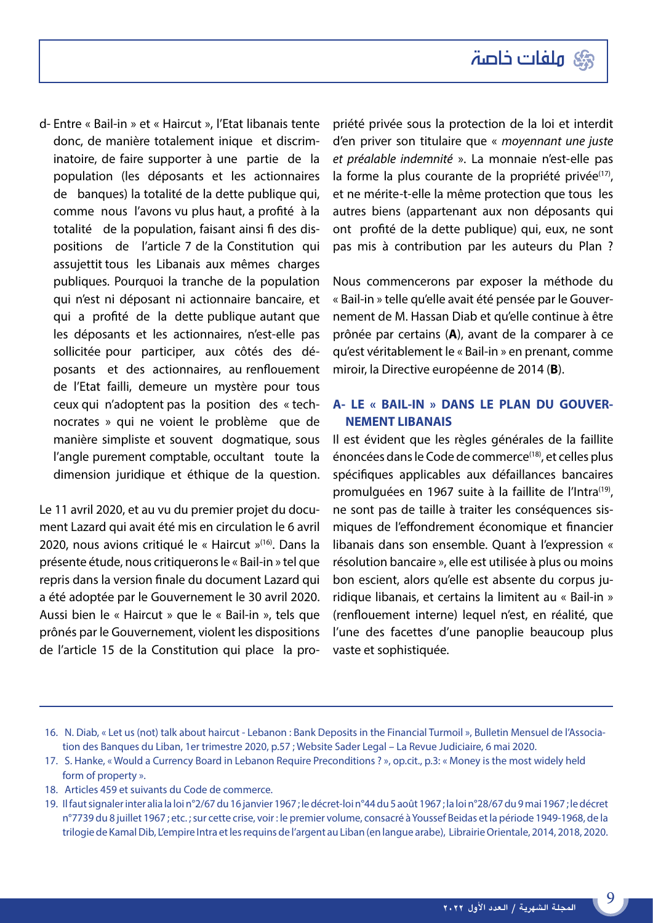

d- Entre « Bail-in » et « Haircut », l'Etat libanais tente donc, de manière totalement inique et discriminatoire, de faire supporter à une partie de la population (les déposants et les actionnaires de banques) la totalité de la dette publique qui, comme nous l'avons vu plus haut, a profité à la totalité de la population, faisant ainsi fi des dispositions de l'article 7 de la Constitution qui assujettit tous les Libanais aux mêmes charges publiques. Pourquoi la tranche de la population qui n'est ni déposant ni actionnaire bancaire, et qui a profité de la dette publique autant que les déposants et les actionnaires, n'est-elle pas sollicitée pour participer, aux côtés des déposants et des actionnaires, au renflouement de l'Etat failli, demeure un mystère pour tous ceux qui n'adoptent pas la position des « technocrates » qui ne voient le problème que de manière simpliste et souvent dogmatique, sous l'angle purement comptable, occultant toute la dimension juridique et éthique de la question.

Le 11 avril 2020, et au vu du premier projet du document Lazard qui avait été mis en circulation le 6 avril 2020, nous avions critiqué le « Haircut »(16). Dans la présente étude, nous critiquerons le « Bail-in » tel que repris dans la version finale du document Lazard qui a été adoptée par le Gouvernement le 30 avril 2020. Aussi bien le « Haircut » que le « Bail-in », tels que prônés par le Gouvernement, violent les dispositions de l'article 15 de la Constitution qui place la propriété privée sous la protection de la loi et interdit d'en priver son titulaire que « *moyennant une juste et préalable indemnité* ». La monnaie n'est-elle pas la forme la plus courante de la propriété privée<sup>(17)</sup>, et ne mérite-t-elle la même protection que tous les autres biens (appartenant aux non déposants qui ont profité de la dette publique) qui, eux, ne sont pas mis à contribution par les auteurs du Plan ?

Nous commencerons par exposer la méthode du « Bail-in » telle qu'elle avait été pensée par le Gouvernement de M. Hassan Diab et qu'elle continue à être prônée par certains (**A**), avant de la comparer à ce qu'est véritablement le « Bail-in » en prenant, comme miroir, la Directive européenne de 2014 (**B**).

#### **A- LE « BAIL-IN » DANS LE PLAN DU GOUVER-NEMENT LIBANAIS**

Il est évident que les règles générales de la faillite énoncées dans le Code de commerce<sup>(18)</sup>, et celles plus spécifiques applicables aux défaillances bancaires promulguées en 1967 suite à la faillite de l'Intra<sup>(19)</sup>, ne sont pas de taille à traiter les conséquences sismiques de l'effondrement économique et financier libanais dans son ensemble. Quant à l'expression « résolution bancaire », elle est utilisée à plus ou moins bon escient, alors qu'elle est absente du corpus juridique libanais, et certains la limitent au « Bail-in » (renflouement interne) lequel n'est, en réalité, que l'une des facettes d'une panoplie beaucoup plus vaste et sophistiquée.

- 17. S. Hanke, « Would a Currency Board in Lebanon Require Preconditions ? », op.cit., p.3: « Money is the most widely held form of property ».
- 18. Articles 459 et suivants du Code de commerce.
- 19. Il faut signaler inter alia la loi n°2/67 du 16 janvier 1967 ; le décret-loi n°44 du 5 août 1967 ; la loi n°28/67 du 9 mai 1967 ; le décret n°7739 du 8 juillet 1967 ; etc. ; sur cette crise, voir : le premier volume, consacré à Youssef Beidas et la période 1949-1968, de la trilogie de Kamal Dib, L'empire Intra et les requins de l'argent au Liban (en langue arabe), Librairie Orientale, 2014, 2018, 2020.

<sup>16.</sup> N. Diab, « Let us (not) talk about haircut - Lebanon : Bank Deposits in the Financial Turmoil », Bulletin Mensuel de l'Association des Banques du Liban, 1er trimestre 2020, p.57 ; Website Sader Legal – La Revue Judiciaire, 6 mai 2020.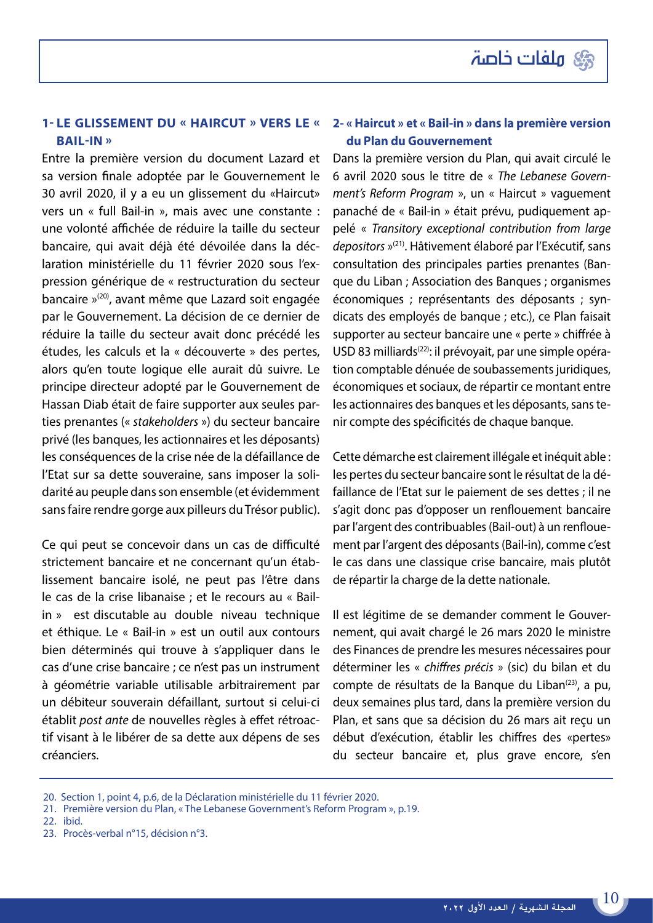#### **1- Le glissement du « Haircut » vers le « Bail-in »**

Entre la première version du document Lazard et sa version finale adoptée par le Gouvernement le 30 avril 2020, il y a eu un glissement du «Haircut» vers un « full Bail-in », mais avec une constante : une volonté affichée de réduire la taille du secteur bancaire, qui avait déjà été dévoilée dans la déclaration ministérielle du 11 février 2020 sous l'expression générique de « restructuration du secteur bancaire »(20), avant même que Lazard soit engagée par le Gouvernement. La décision de ce dernier de réduire la taille du secteur avait donc précédé les études, les calculs et la « découverte » des pertes, alors qu'en toute logique elle aurait dû suivre. Le principe directeur adopté par le Gouvernement de Hassan Diab était de faire supporter aux seules parties prenantes (« *stakeholders* ») du secteur bancaire privé (les banques, les actionnaires et les déposants) les conséquences de la crise née de la défaillance de l'Etat sur sa dette souveraine, sans imposer la solidarité au peuple dans son ensemble (et évidemment sans faire rendre gorge aux pilleurs du Trésor public).

Ce qui peut se concevoir dans un cas de difficulté strictement bancaire et ne concernant qu'un établissement bancaire isolé, ne peut pas l'être dans le cas de la crise libanaise ; et le recours au « Bailin » est discutable au double niveau technique et éthique. Le « Bail-in » est un outil aux contours bien déterminés qui trouve à s'appliquer dans le cas d'une crise bancaire ; ce n'est pas un instrument à géométrie variable utilisable arbitrairement par un débiteur souverain défaillant, surtout si celui-ci établit *post ante* de nouvelles règles à effet rétroactif visant à le libérer de sa dette aux dépens de ses créanciers.

#### **2- « Haircut » et « Bail-in » dans la première version du Plan du Gouvernement**

Dans la première version du Plan, qui avait circulé le 6 avril 2020 sous le titre de « *The Lebanese Government's Reform Program* », un « Haircut » vaguement panaché de « Bail-in » était prévu, pudiquement appelé « *Transitory exceptional contribution from large depositors* »(21). Hâtivement élaboré par l'Exécutif, sans consultation des principales parties prenantes (Banque du Liban ; Association des Banques ; organismes économiques ; représentants des déposants ; syndicats des employés de banque ; etc.), ce Plan faisait supporter au secteur bancaire une « perte » chiffrée à USD 83 milliards<sup>(22)</sup>: il prévoyait, par une simple opération comptable dénuée de soubassements juridiques, économiques et sociaux, de répartir ce montant entre les actionnaires des banques et les déposants, sans tenir compte des spécificités de chaque banque.

Cette démarche est clairement illégale et inéquit able : les pertes du secteur bancaire sont le résultat de la défaillance de l'Etat sur le paiement de ses dettes ; il ne s'agit donc pas d'opposer un renflouement bancaire par l'argent des contribuables (Bail-out) à un renflouement par l'argent des déposants (Bail-in), comme c'est le cas dans une classique crise bancaire, mais plutôt de répartir la charge de la dette nationale.

Il est légitime de se demander comment le Gouvernement, qui avait chargé le 26 mars 2020 le ministre des Finances de prendre les mesures nécessaires pour déterminer les « *chiffres précis* » (sic) du bilan et du compte de résultats de la Banque du Liban $(23)$ , a pu, deux semaines plus tard, dans la première version du Plan, et sans que sa décision du 26 mars ait reçu un début d'exécution, établir les chiffres des «pertes» du secteur bancaire et, plus grave encore, s'en

- 22. ibid.
- 23. Procès-verbal n°15, décision n°3.

<sup>20.</sup> Section 1, point 4, p.6, de la Déclaration ministérielle du 11 février 2020.

<sup>21.</sup> Première version du Plan, « The Lebanese Government's Reform Program », p.19.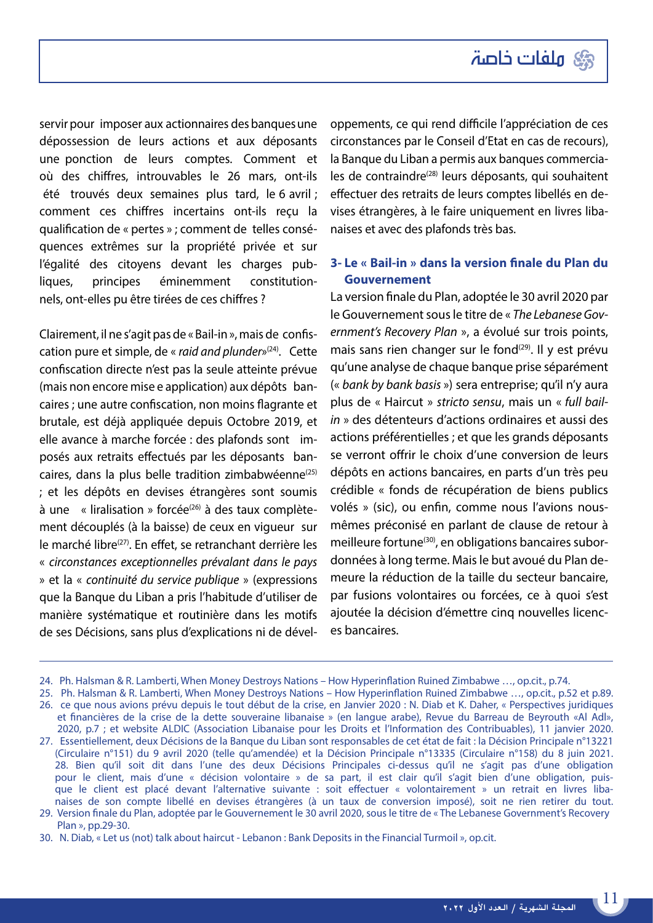ser vir pour imposer aux actionnaires des banques une dépossession de leurs actions et aux déposants une ponction de leurs comptes. Comment et où des chiffres, introuvables le 26 mars, ont-ils été trouvés deux semaines plus tard, le 6 avril ; comment ces chiffres incertains ont-ils reçu la qualification de « pertes » ; comment de telles conséquences extrêmes sur la propriété privée et sur l'égalité des citoyens devant les charges publiques, principes éminemment constitutionnels, ont-elles pu être tirées de ces chiffres ?

Clairement, il ne s'agit pas de « Bail-in », mais de confiscation pure et simple, de « *raid and plunder*»(24). Cette confiscation directe n'est pas la seule atteinte prévue (mais non encore mise e application) aux dépôts bancaires ; une autre confiscation, non moins flagrante et brutale, est déjà appliquée depuis Octobre 2019, et elle avance à marche forcée : des plafonds sont imposés aux retraits effectués par les déposants bancaires, dans la plus belle tradition zimbabwéenne<sup>(25)</sup> ; et les dépôts en devises étrangères sont soumis  $\dot{a}$  une « liralisation » forcée<sup>(26)</sup> à des taux complètement découplés (à la baisse) de ceux en vigueur sur le marché libre<sup>(27)</sup>. En effet, se retranchant derrière les « *circonstances exceptionnelles prévalant dans le pays* » et la « *continuité du service publique* » (expressions que la Banque du Liban a pris l'habitude d'utiliser de manière systématique et routinière dans les motifs de ses Décisions, sans plus d'explications ni de développements, ce qui rend difficile l'appréciation de ces circonstances par le Conseil d'Etat en cas de recours), la Banque du Liban a permis aux banques commerciales de contraindre<sup>(28)</sup> leurs déposants, qui souhaitent effectuer des retraits de leurs comptes libellés en devises étrangères, à le faire uniquement en livres libanaises et avec des plafonds très bas.

#### **3- Le « Bail-in » dans la version finale du Plan du Gouvernement**

La version finale du Plan, adoptée le 30 avril 2020 par le Gouvernement sous le titre de « *The Lebanese Government's Recovery Plan* », a évolué sur trois points, mais sans rien changer sur le fond $(29)$ . Il y est prévu qu'une analyse de chaque banque prise séparément (« *bank by bank basis* ») sera entreprise; qu'il n'y aura plus de « Haircut » *stricto sensu*, mais un « *full bailin* » des détenteurs d'actions ordinaires et aussi des actions préférentielles ; et que les grands déposants se verront offrir le choix d'une conversion de leurs dépôts en actions bancaires, en parts d'un très peu crédible « fonds de récupération de biens publics volés » (sic), ou enfin, comme nous l'avions nousmêmes préconisé en parlant de clause de retour à meilleure fortune<sup>(30)</sup>, en obligations bancaires subordonnées à long terme. Mais le but avoué du Plan demeure la réduction de la taille du secteur bancaire, par fusions volontaires ou forcées, ce à quoi s'est ajoutée la décision d'émettre cinq nouvelles licences bancaires.

<sup>24.</sup> Ph. Halsman & R. Lamberti, When Money Destroys Nations – How Hyperinflation Ruined Zimbabwe …, op.cit., p.74.

<sup>25.</sup> Ph. Halsman & R. Lamberti, When Money Destroys Nations – How Hyperinflation Ruined Zimbabwe …, op.cit., p.52 et p.89.

<sup>26.</sup> ce que nous avions prévu depuis le tout début de la crise, en Janvier 2020 : N. Diab et K. Daher, « Perspectives juridiques et financières de la crise de la dette souveraine libanaise » (en langue arabe), Revue du Barreau de Beyrouth «Al Adl», 2020, p.7 ; et website ALDIC (Association Libanaise pour les Droits et l'Information des Contribuables), 11 janvier 2020.

<sup>27.</sup> Essentiellement, deux Décisions de la Banque du Liban sont responsables de cet état de fait : la Décision Principale n°13221 (Circulaire n°151) du 9 avril 2020 (telle qu'amendée) et la Décision Principale n°13335 (Circulaire n°158) du 8 juin 2021. 28. Bien qu'il soit dit dans l'une des deux Décisions Principales ci-dessus qu'il ne s'agit pas d'une obligation pour le client, mais d'une « décision volontaire » de sa part, il est clair qu'il s'agit bien d'une obligation, puisque le client est placé devant l'alternative suivante : soit effectuer « volontairement » un retrait en livres libanaises de son compte libellé en devises étrangères (à un taux de conversion imposé), soit ne rien retirer du tout.

<sup>29.</sup> Version finale du Plan, adoptée par le Gouvernement le 30 avril 2020, sous le titre de « The Lebanese Government's Recovery Plan », pp.29-30.

<sup>30.</sup> N. Diab, « Let us (not) talk about haircut - Lebanon : Bank Deposits in the Financial Turmoil », op.cit.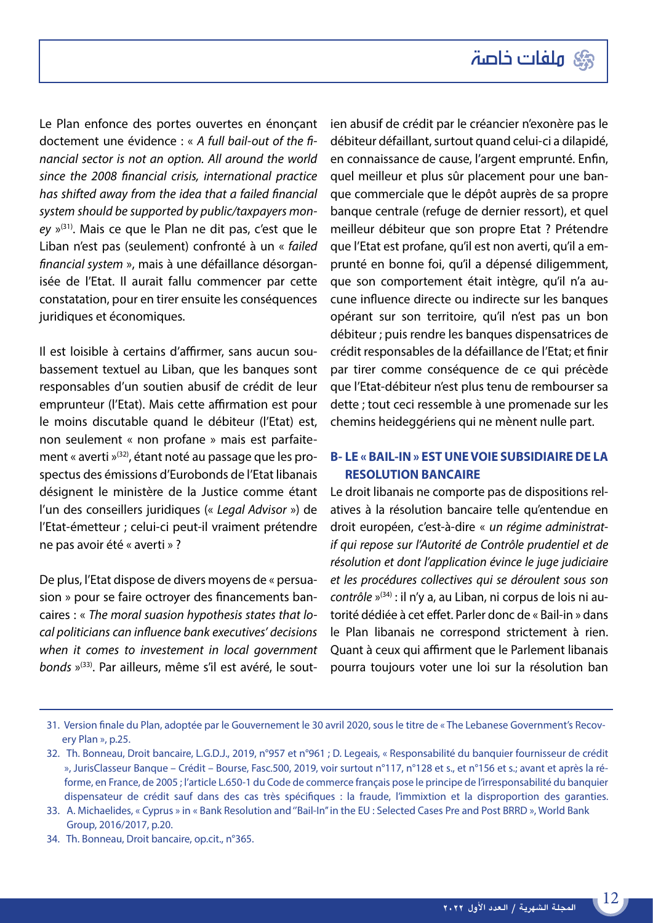

Le Plan enfonce des portes ouvertes en énonçant doctement une évidence : « *A full bail-out of the financial sector is not an option. All around the world since the 2008 financial crisis, international practice has shifted away from the idea that a failed financial system should be supported by public/taxpayers money* »(31). Mais ce que le Plan ne dit pas, c'est que le Liban n'est pas (seulement) confronté à un « *failed financial system* », mais à une défaillance désorganisée de l'Etat. Il aurait fallu commencer par cette constatation, pour en tirer ensuite les conséquences juridiques et économiques.

Il est loisible à certains d'affirmer, sans aucun soubassement textuel au Liban, que les banques sont responsables d'un soutien abusif de crédit de leur emprunteur (l'Etat). Mais cette affirmation est pour le moins discutable quand le débiteur (l'Etat) est, non seulement « non profane » mais est parfaitement « averti »(32), étant noté au passage que les prospectus des émissions d'Eurobonds de l'Etat libanais désignent le ministère de la Justice comme étant l'un des conseillers juridiques (« *Legal Advisor* ») de l'Etat-émetteur ; celui-ci peut-il vraiment prétendre ne pas avoir été « averti » ?

De plus, l'Etat dispose de divers moyens de « persuasion » pour se faire octroyer des financements bancaires : « *The moral suasion hypothesis states that local politicians can influence bank executives' decisions when it comes to investement in local government bonds* »(33). Par ailleurs, même s'il est avéré, le soutien abusif de crédit par le créancier n'exonère pas le débiteur défaillant, surtout quand celui-ci a dilapidé, en connaissance de cause, l'argent emprunté. Enfin, quel meilleur et plus sûr placement pour une banque commerciale que le dépôt auprès de sa propre banque centrale (refuge de dernier ressort), et quel meilleur débiteur que son propre Etat ? Prétendre que l'Etat est profane, qu'il est non averti, qu'il a emprunté en bonne foi, qu'il a dépensé diligemment, que son comportement était intègre, qu'il n'a aucune influence directe ou indirecte sur les banques opérant sur son territoire, qu'il n'est pas un bon débiteur ; puis rendre les banques dispensatrices de crédit responsables de la défaillance de l'Etat; et finir par tirer comme conséquence de ce qui précède que l'Etat-débiteur n'est plus tenu de rembourser sa dette ; tout ceci ressemble à une promenade sur les chemins heideggériens qui ne mènent nulle part.

#### **B- LE « BAIL-IN » EST UNE VOIE SUBSIDIAIRE DE LA RESOLUTION BANCAIRE**

Le droit libanais ne comporte pas de dispositions relatives à la résolution bancaire telle qu'entendue en droit européen, c'est-à-dire « *un régime administratif qui repose sur l'Autorité de Contrôle prudentiel et de résolution et dont l'application évince le juge judiciaire et les procédures collectives qui se déroulent sous son contrôle* »<sup>(34)</sup> : il n'y a, au Liban, ni corpus de lois ni autorité dédiée à cet effet. Parler donc de « Bail-in » dans le Plan libanais ne correspond strictement à rien. Quant à ceux qui affirment que le Parlement libanais pourra toujours voter une loi sur la résolution ban

<sup>31.</sup> Version finale du Plan, adoptée par le Gouvernement le 30 avril 2020, sous le titre de « The Lebanese Government's Recovery Plan », p.25.

<sup>32.</sup> Th. Bonneau, Droit bancaire, L.G.D.J., 2019, n°957 et n°961 ; D. Legeais, « Responsabilité du banquier fournisseur de crédit », JurisClasseur Banque – Crédit – Bourse, Fasc.500, 2019, voir surtout n°117, n°128 et s., et n°156 et s.; avant et après la réforme, en France, de 2005 ; l'article L.650-1 du Code de commerce français pose le principe de l'irresponsabilité du banquier dispensateur de crédit sauf dans des cas très spécifiques : la fraude, l'immixtion et la disproportion des garanties.

<sup>33.</sup> A. Michaelides, « Cyprus » in « Bank Resolution and ''Bail-In'' in the EU : Selected Cases Pre and Post BRRD », World Bank Group, 2016/2017, p.20.

<sup>34.</sup> Th. Bonneau, Droit bancaire, op.cit., n°365.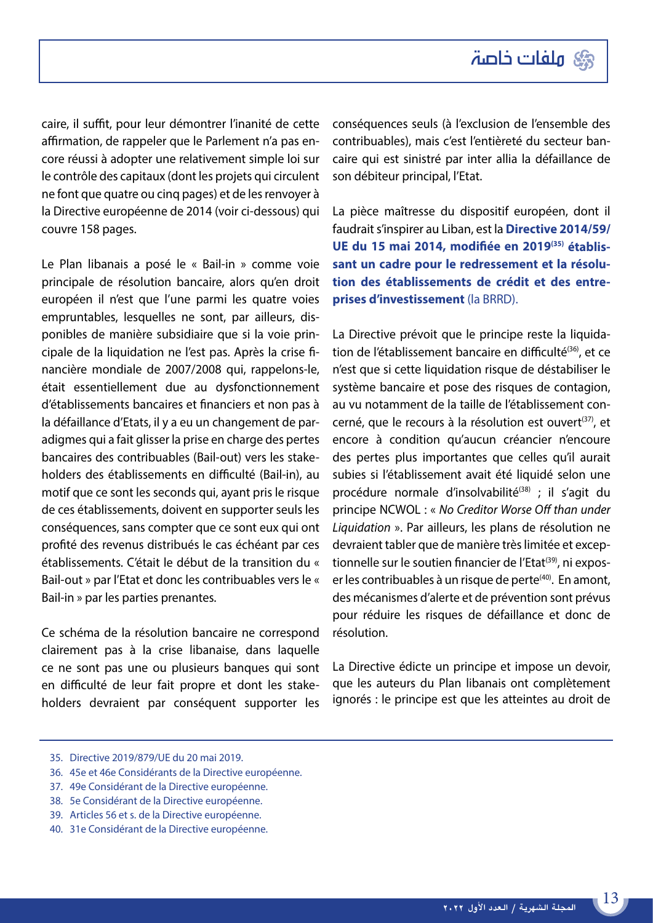

caire, il suffit, pour leur démontrer l'inanité de cette affirmation, de rappeler que le Parlement n'a pas encore réussi à adopter une relativement simple loi sur le contrôle des capitaux (dont les projets qui circulent ne font que quatre ou cinq pages) et de les renvoyer à la Directive européenne de 2014 (voir ci-dessous) qui couvre 158 pages.

Le Plan libanais a posé le « Bail-in » comme voie principale de résolution bancaire, alors qu'en droit européen il n'est que l'une parmi les quatre voies empruntables, lesquelles ne sont, par ailleurs, disponibles de manière subsidiaire que si la voie principale de la liquidation ne l'est pas. Après la crise financière mondiale de 2007/2008 qui, rappelons-le, était essentiellement due au dysfonctionnement d'établissements bancaires et financiers et non pas à la défaillance d'Etats, il y a eu un changement de paradigmes qui a fait glisser la prise en charge des pertes bancaires des contribuables (Bail-out) vers les stakeholders des établissements en difficulté (Bail-in), au motif que ce sont les seconds qui, ayant pris le risque de ces établissements, doivent en supporter seuls les conséquences, sans compter que ce sont eux qui ont profité des revenus distribués le cas échéant par ces établissements. C'était le début de la transition du « Bail-out » par l'Etat et donc les contribuables vers le « Bail-in » par les parties prenantes.

Ce schéma de la résolution bancaire ne correspond clairement pas à la crise libanaise, dans laquelle ce ne sont pas une ou plusieurs banques qui sont en difficulté de leur fait propre et dont les stakeholders devraient par conséquent supporter les conséquences seuls (à l'exclusion de l'ensemble des contribuables), mais c'est l'entièreté du secteur bancaire qui est sinistré par inter allia la défaillance de son débiteur principal, l'Etat.

La pièce maîtresse du dispositif européen, dont il faudrait s'inspirer au Liban, est la **Directive 2014/59/ UE du 15 mai 2014, modifiée en 2019(35) établissant un cadre pour le redressement et la résolution des établissements de crédit et des entreprises d'investissement** (la BRRD).

La Directive prévoit que le principe reste la liquidation de l'établissement bancaire en difficulté<sup>(36)</sup>, et ce n'est que si cette liquidation risque de déstabiliser le système bancaire et pose des risques de contagion, au vu notamment de la taille de l'établissement concerné, que le recours à la résolution est ouvert<sup>(37)</sup>, et encore à condition qu'aucun créancier n'encoure des pertes plus importantes que celles qu'il aurait subies si l'établissement avait été liquidé selon une procédure normale d'insolvabilité<sup>(38)</sup> ; il s'agit du principe NCWOL : « *No Creditor Worse Off than under Liquidation* ». Par ailleurs, les plans de résolution ne devraient tabler que de manière très limitée et exceptionnelle sur le soutien financier de l'Etat<sup>(39)</sup>, ni exposer les contribuables à un risque de perte<sup>(40)</sup>. En amont, des mécanismes d'alerte et de prévention sont prévus pour réduire les risques de défaillance et donc de résolution.

La Directive édicte un principe et impose un devoir, que les auteurs du Plan libanais ont complètement ignorés : le principe est que les atteintes au droit de

- 35. Directive 2019/879/UE du 20 mai 2019.
- 36. 45e et 46e Considérants de la Directive européenne.
- 37. 49e Considérant de la Directive européenne.
- 38. 5e Considérant de la Directive européenne.
- 39. Articles 56 et s. de la Directive européenne.
- 40. 31e Considérant de la Directive européenne.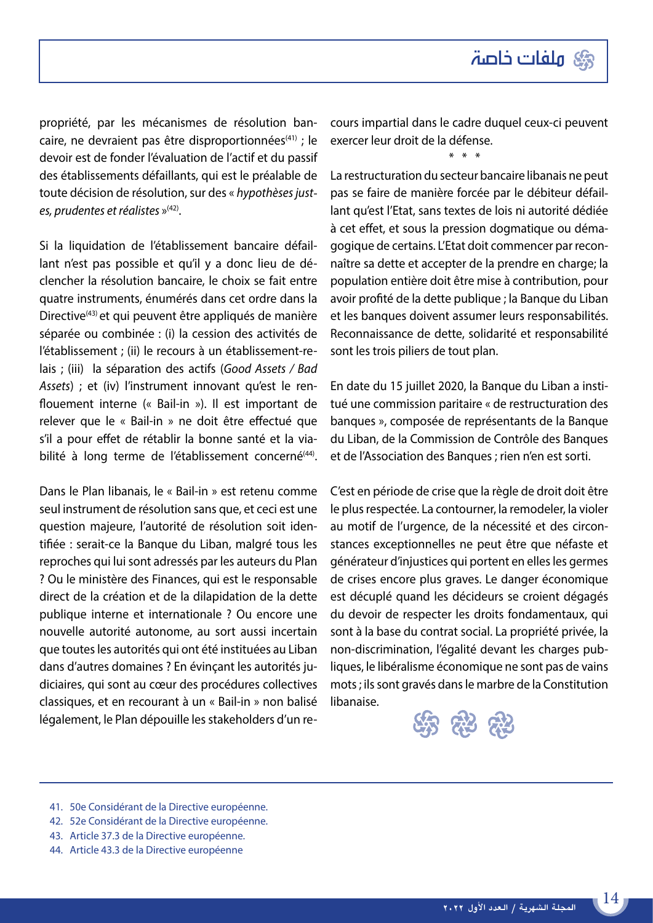propriété, par les mécanismes de résolution bancaire, ne devraient pas être disproportionnées<sup>(41)</sup> ; le devoir est de fonder l'évaluation de l'actif et du passif des établissements défaillants, qui est le préalable de toute décision de résolution, sur des « *hypothèses justes, prudentes et réalistes* »(42).

Si la liquidation de l'établissement bancaire défaillant n'est pas possible et qu'il y a donc lieu de déclencher la résolution bancaire, le choix se fait entre quatre instruments, énumérés dans cet ordre dans la Directive<sup>(43)</sup> et qui peuvent être appliqués de manière séparée ou combinée : (i) la cession des activités de l'établissement ; (ii) le recours à un établissement-relais ; (iii) la séparation des actifs (*Good Assets / Bad Assets*) ; et (iv) l'instrument innovant qu'est le renflouement interne (« Bail-in »). Il est important de relever que le « Bail-in » ne doit être effectué que s'il a pour effet de rétablir la bonne santé et la viabilité à long terme de l'établissement concerné<sup>(44)</sup>.

Dans le Plan libanais, le « Bail-in » est retenu comme seul instrument de résolution sans que, et ceci est une question majeure, l'autorité de résolution soit identifiée : serait-ce la Banque du Liban, malgré tous les reproches qui lui sont adressés par les auteurs du Plan ? Ou le ministère des Finances, qui est le responsable direct de la création et de la dilapidation de la dette publique interne et internationale ? Ou encore une nouvelle autorité autonome, au sort aussi incertain que toutes les autorités qui ont été instituées au Liban dans d'autres domaines ? En évinçant les autorités judiciaires, qui sont au cœur des procédures collectives classiques, et en recourant à un « Bail-in » non balisé légalement, le Plan dépouille les stakeholders d'un recours impartial dans le cadre duquel ceux-ci peuvent exercer leur droit de la défense.

\* \* \*

La restructuration du secteur bancaire libanais ne peut pas se faire de manière forcée par le débiteur défaillant qu'est l'Etat, sans textes de lois ni autorité dédiée à cet effet, et sous la pression dogmatique ou démagogique de certains. L'Etat doit commencer par reconnaître sa dette et accepter de la prendre en charge; la population entière doit être mise à contribution, pour avoir profité de la dette publique ; la Banque du Liban et les banques doivent assumer leurs responsabilités. Reconnaissance de dette, solidarité et responsabilité sont les trois piliers de tout plan.

En date du 15 juillet 2020, la Banque du Liban a institué une commission paritaire « de restructuration des banques », composée de représentants de la Banque du Liban, de la Commission de Contrôle des Banques et de l'Association des Banques ; rien n'en est sorti.

C'est en période de crise que la règle de droit doit être le plus respectée. La contourner, la remodeler, la violer au motif de l'urgence, de la nécessité et des circonstances exceptionnelles ne peut être que néfaste et générateur d'injustices qui portent en elles les germes de crises encore plus graves. Le danger économique est décuplé quand les décideurs se croient dégagés du devoir de respecter les droits fondamentaux, qui sont à la base du contrat social. La propriété privée, la non-discrimination, l'égalité devant les charges publiques, le libéralisme économique ne sont pas de vains mots ; ils sont gravés dans le marbre de la Constitution libanaise.



- 41. 50e Considérant de la Directive européenne.
- 42. 52e Considérant de la Directive européenne.
- 43. Article 37.3 de la Directive européenne.
- 44. Article 43.3 de la Directive européenne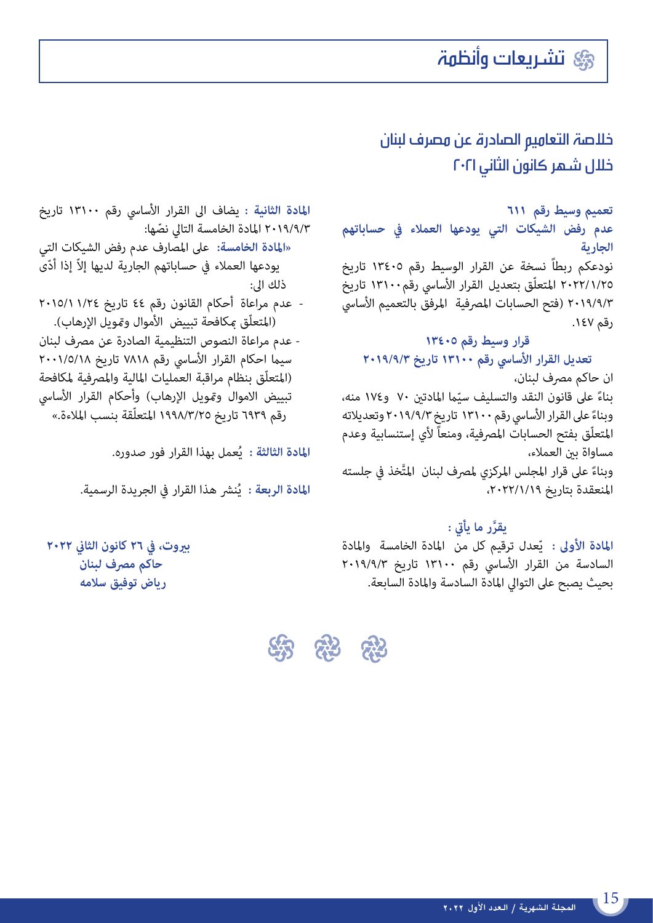### خالصة التعاميم الصادرة عن مصرف لبنان خالل شهر كانون الثاني 2021

**تعميم وسيط رقم ٦١١ عدم رفض الشيكات التي يودعها العمالء يف حساباتهم الجارية**

نودعكم ربطاً نسخة عن القرار الوسيط رقم 13405 تاريخ ٢٠٢٢/١/٢٥ المتعلّق بتعديل القرار الأساسي رقم١٣١٠٠ تاريخ ٢٠١٩/٩/٣ (فتح الحسابات المصرفية المرفق بالتعميم الأساسي رقم ١٤٧.

**قرار وسيط رقم ١٣٤٠٥ تعديل القرار األسايس رقم ١٣١٠٠ تاريخ ٢٠١٩/٩/٣**

ان حاكم مصرف لبنان، بناءً على قانون النقد والتسليف سيّما المادتين ٧٠ و١٧٤ منه،<br>. وبناءً على القرار الأساسي رقم ١٣١٠٠ تاريخٍ ٢٠١٩/٩/٢ وتعديلاته المتعلّق بفتح الحسابات المصرفية، ومنعاً لأي إستنسابية وعدم مساواة بني العمالء،

وبناءً على قرار المجلس المركزي لمصرف لبنان المتَّخذ في جلسته املنعقدة بتاريخ ،2022/1/19

يقرَّر ما يأتيّ :<br>المادة الأولى : يّعدل ترقيم كل من المادة الخامسة والمادة السادسة من القرار الأساسي رقم ١٣١٠٠ تاريخ ٢٠١٩/٩/٣ بحيث يصبح عىل التوايل املادة السادسة واملادة السابعة.

**املادة الثانية :** يضاف اىل القرار األسايس رقم 13100 تاريخ 2019/9/3 ّ املادة الخامسة التايل نصها:

 **»املادة الخامسة:** عىل املصارف عدم رفض الشيكات التي ّ يودعها العمالء يف حساباتهم الجارية لديها إالّ إذا أدى ذلك اىل:

 - عدم مراعاة أحكام القانون رقم 44 تاريخ 2015/11/24 (المتعلّق مكافحة تبييض الأموال وقمويل الإرهاب).

 - عدم مراعاة النصوص التنظيمية الصادرة عن مرصف لبنان سيما احكام القرار الأساسي رقم ٧٨١٨ تاريخ ٢٠٠١/٥/١٨ (المتعلّق بنظام مراقبة العمليات المالية والمصرفية لمكافحة تبييض الاموال وتمويل الإرهاب) وأحكام القرار الأساسي رقم ٦٩٣٩ تاريخ ١٩٩٨/٣/٢٥ المتعلّقة بنسب الملاءة.»

ال<mark>مادة الثالثة : يُع</mark>مل بهذا القرار فور صدوره.

ا<mark>لمادة الربعة : يُنش</mark>ر هذا القرار في الجريدة الرسمية.

 **بريوت، يف 26 كانون الثاين 2022 حاكم مرصف لبنان رياض توفيق سالمه**

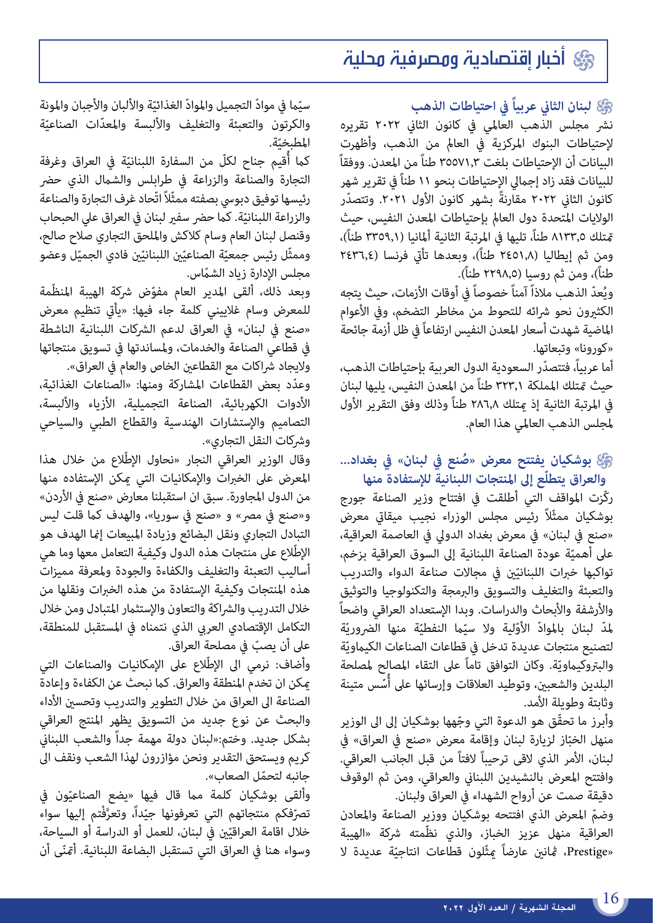### أخبار إقتصادية ومصرفية محلية

#### **لبنان الثاين عربياً يف احتياطات الذهب**

نرش مجلس الذهب العاملي يف كانون الثاين 2022 تقريره إلحتياطات البنوك املركزية يف العامل من الذهب، وأظهرت البيانات أن الإحتياطات بلغت ٣٥٥٧١,٣ طناً من المعدن. ووفقاً للبيانات فقد زاد إجاميل اإلحتياطات بنحو 11 طناً يف تقرير شهر كانون الثاني ٢٠٢٢ مقارنةً بشهر كانون الأول ٢٠٢١. وتتصدّر الولايات المتحدة دول العالم بإحتياطات المعدن النفيس، حيث متلك ٩١٣٣,٥ طناً، تليها في المرتبة الثانية ألمانيا (٣٣٥٩,١ طناً)، ومن ثم إيطاليا (١,٢٤٥١ طناً)، وبعدها تأتى فرنسا (٢٤٣٦,٤ طناً)، ومن ثم روسيا (٢٢٩٨,٥ طناً).

ويُعدّ الذهب ملاذاً آمناً خصوصاً في أوقات الأزمات، حيث يِتجه الكثيرون نحو شرائه للتحوط من مخاطر التضخم، وفي الأعوام املاضية شهدت أسعار املعدن النفيس ارتفاعاً يف ظل أزمة جائحة «كورونا» وتبعاتها.

أما عربياً، فتتصدّر السعودية الدول العربية بإحتياطات الذهب، حيث متتلك اململكة 323.1 طناً من املعدن النفيس، يليها لبنان في المرتبة الثانية إذ متلك ٢٨٦٫٨ طناً وذلك وفق التقرير الأول ملجلس الذهب العاملي هذا العام.

#### **ّع إىل املنتجات اللبنانية لإلستفادة منها ُ بوشكيان يفتتح معرض »صنع يف لبنان« يف بغداد... والعراق يتطل**

ركّزت املواقف التي أطلقت يف افتتاح وزير الصناعة جورج بوشكيان ممثّالً رئيس مجلس الوزراء نجيب ميقايت معرض »صنع يف لبنان« يف معرض بغداد الدويل يف العاصمة العراقية، على أهميّة عودة الصناعة اللبنانية إلى السوق العراقية بزخم، تواكبها خبرات اللبنانيّين في مجالات صناعة الدواء والتدريب والتعبئة والتغليف والتسويق والربمجة والتكنولوجيا والتوثيق والأرشفة والأبحاث والدراسات. وبدا الإستعداد العراقى واضحاً لمدّ لبنان بالموادّ الأوّلية ولا سيّما النفطيّة منها الضروريّة لتصنيع منتجات عديدة تدخل في قطاعات الصناعات الكيماويّة والبتروكيماويّة. وكان التوافق تاماً على التقاء المصالح لمصلحة البلدين والشعبين، وتوطيد العلاقات وإرسائها على أسّس متينة ا<br>ا وثابتة وطويلة الأمد.

وأبرز ما تحقّق هو الدعوة التي وجّهها بوشكيان إلى الى الوزير منهل الخبّاز لزيارة لبنان وإقامة معرض «صنع في العراق» في لبنان، الأمر الذي لاقى ترحيباً لافتاً من قبل الجانب العراقي. وافتتح املعرض بالنشيدين اللبناين والعراقي، ومن ثم الوقوف دقيقة صمت عن أرواح الشهداء يف العراق ولبنان.

وضمّ المعرض الذي افتتحه بوشكيان ووزير الصناعة والمعادن<br>العراقية منهل عزيز الخباز، والذي نظّمته شركة «الهيبة «Prestige، ڠانين عارضاً عِثّلون قطاعات انتاجيّة عديدة لا

سيّما في موادّ التجميل والموادّ الغذائيّة والألبان والأجبان والمونة والكرتون والتعبئة والتغليف والألبسة والمعدّات الصناعيّة المطبخيّة.<br>.

كما أُقيم جناح لكلّ من السفارة اللبنانيّة في العراق وغرفة التجارة والصناعة والزراعة في طرابلس والشمال الذي حضر رئيسها توفيق دبويس بصفته ممثّالً اتّحاد غرف التجارة والصناعة والزراعة اللبنانيّة. كما حضر سفير لبنان في العراق علي الحبحاب وقنصل لبنان العام وسام كالكش وامللحق التجاري صالح صالح، وممثّل رئيس جمعيّة الصناعيّين اللبنانيّين فادي الجميّل وعضو مجلس الإدارة زياد الشمّاس.

وبعد ذلك، ألقى المدير العام مفوّض شركة الهيبة المنظّمة للمعرض وسام غلاييني كلمة جاء فيها: «يأتي تنظيم معرض «صنع في لبنان» في العراق لدعم الشركات اللبنانية الناشطة يف قطاعي الصناعة والخدمات، وملساندتها يف تسويق منتجاتها ولايجاد شراكات مع القطاعين الخاص والعام في العراق».

ّ وعدد بعض القطاعات املشاركة ومنها: »الصناعات الغذائية، األدوات الكهربائية، الصناعة التجميلية، األزياء واأللبسة، التصاميم واإلستشارات الهندسية والقطاع الطبي والسياحي وشركات النقل التجاري».

وقال الوزير العراقي النجار «نحاول الإطّلاع من خلال هذا املعرض عىل الخربات واإلمكانيات التي ميكن اإلستفاده منها من الدول المجاورة. سبق ان استقبلنا معارض «صنع في الأردن» و«صنع في مصر» و «صنع في سوريا»، والهدف كما قلت ليس التبادل التجاري ونقل البضائع وزيادة املبيعات إمنا الهدف هو الإطّلاع على منتجات هذه الدول وكيفية التعامل معها وما هي أساليب التعبئة والتغليف والكفاءة والجودة وملعرفة مميزات هذه املنتجات وكيفية اإلستفادة من هذه الخربات ونقلها من خلال التدريب والشراكة والتعاون والإستثمار المتبادل ومن خلال التكامل الإقتصادي العربي الذي نتمناه في المستقبل للمنطقة،<br>على أن يصبّ في مصلحة العراق.

على أن يصبّ في مصلحة العراق.<br>وأضاف: نرمي الى الإطِّلاع على الإمكانيات والصناعات التي مكن ان تخدم المنطقة والعراق. كما نبحث عن الكفاءة وإعادة الصناعة الى العراق من خلال التطوير والتدريب وتحسين الأداء والبحث عن نوع جديد من التسويق يظهر املنتج العراقي بشكل جديد. وختم:»لبنان دولة مهمة جداً والشعب اللبناين كريم ويستحق التقدير ونحن مؤازرون لهذا الشعب ونقف اىل

جانبه لتحمّل الصعاب».<br>وألقى بوشكيان كلمة مما قال فيها ٍ«يضع الصناعيّون في داً، وتعرَّفْتم<sub>،</sub> إليها سواء<br>\* تصرّفكم منتجاتهم التي تعرفونها جيّداً، وتعرَّفْتم إليها سواء<br>خلال اقامة العراقيّين في لبنان، للعمل أو الدراسة أو السياحة، ّ وسواء هنا يف العراق التي تستقبل البضاعة اللبنانية. أمتنى أن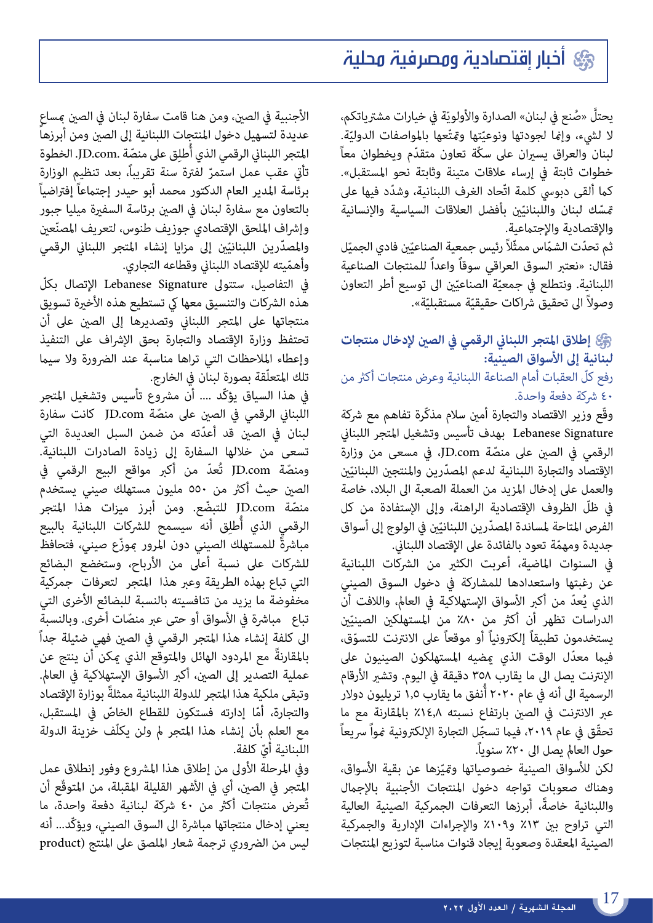### أخبار إقتصادية ومصرفية محلية

يحتلّ «صُنع في لبنان» الصدارة والأولويّة في خيارات مشترياتكم، يحتلّ «صُنع في لبنان» الصدارة والأولويّة في خيارات مشترياتكم،<br>لا لشيء، وإمْا لجودتها ونوعيّتها ومّتّعها بالمواصفات الدوليّة.<br>\* لبنان والعراق يسيران على سكّة تعاون متقدّم ويخطوان معاً خطوات ثابتة يف إرساء عالقات متينة وثابتة نحو املستقبل«. كما ألقى دبوسي كلمة اتّحاد الغرف اللبنانية، وشدّد فيها على مّسّك لبنان واللبنانيّن بأفضل العلاقات السياسية والإنسانية والإقتصادية والإجتماعية.

ثم تحدّت الشمّاس ممثّلاً رئيس جمعية الصناعيّين فادي الجميّل فقال: »نعترب السوق العراقي سوقاً واعداً للمنتجات الصناعية اللبنانية. ونتطلع في جمعيّة الصناعيّين الى توسيع أطر التعاون وصولاً الى تحقيق شراكات حقيقيّة مستقبليّة».<br>.

#### **إطالق املتجر اللبناين الرقمي يف الصني إلدخال منتجات لبنانية إىل األسواق الصينية:**

#### رفع كلّ العقبات أمام الصناعة اللبنانية وعرض منتجات أكثر من 40 رشكة دفعة واحدة.

وقّع وزير الاقتصاد والتجارة أمين سلام مذكّرة تفاهم مع شركة Lebanese Signature بهدف تأسيس وتشغيل المتجر اللبناني الرقمي في الصين على منصّة JD.com، في مسعى من وزارة<br>الإقتصاد والتجارة اللبنانية لدعم المصدّرين والمنتجين اللبنانيّين والعمل عىل إدخال املزيد من العملة الصعبة اىل البالد، خاصة يف ظلّ الظروف اإلقتصادية الراهنة، وإىل اإلستفادة من كل الفرص المتاحة لمساندة المصدّرين اللبنانيّين في الولوج إلى أسواق<br>.

جديدة ومهمّة تعود بالفائدة على الإقتصاد اللبناني.<br>في السنوات الماضية، أعربت الكثير من الشركات اللبنانية عن رغبتها واستعدادها للمشاركة يف دخول السوق الصيني الذي يُعدّ من أكبر الأسواق الإستهلاكية في العالم، واللافت أن الدراسات تظهر أن أكثر من ٨٠٪ من المستهلكين الصينيّين<br>-يستخدمون تطبيقاً إلكرتونياً أو موقعاً ّ عىل االنرتنت للتسوق، فيما معدّل الوقت الذي مصيه المستهلكون الصينيون على الإنترنت يصل الى ما يقارب ٣٥٨ دقيقة في اليوم. وتشير الأرقام الرسمية الى أنه في عام ٢٠٢٠ أُنفق ما يقارب ١,٥ تريليون دولار عبر الانترنت في الصن بارتفاع نسبته ٤١٤٫٨ بالمقارنة مع ما تحقّق في عام ٢٠١٩، فيما تسجّل التجارة الإلكترونية مُواً سريعاً حول العالم يصل الى ٢٠٪ سنوياً.

لكن للأسواق الصينية خصوصياتها ومّيّزها عنٍ بقية الأسواق، وهناك صعوبات تواجه دخول املنتجات األجنبية باإلجامل ً واللبنانية خاصة، أبرزها التعرفات الجمركية الصينية العالية التي تراوح بني %13 و%109 واإلجراءات اإلدارية والجمركية الصينية املعقدة وصعوبة إيجاد قنوات مناسبة لتوزيع املنتجات

الأجنبية في الصني، ومن هنا قامت سفارة لبنان في الصن عساع عديدة لتسهيل دخول املنتجات اللبنانية إىل الصني ومن أبرزها المتجر اللبناني الرقمي الذي أُطلِق على منصّة .JD.com. الخطوة تأتي عقب عمل استمرّ لفترة سنة تقريباً، بعد تنظيم الوزارة ٍ برئاسة المدير العام الدكتور محمد أبو حيدر إجتماعاً إفتراضياً بالتعاون مع سفارة لبنان في الصين برئاسة السفيرة ميليا جبور<br>وإشراف الملحق الإقتصادي جوزيف طنوس، لتعريف المصنّعين وإشراف الملحق الإقتصادي جوزيف طنوس، لتعريف المصنّعين<br>والمصدّرين اللبنانيّين إلى مزايا إنشاء المتجر اللبناني الرقمي

وأهمّيته للإقتصاد اللبناني وقطاعه التجاري.<br>في التفاصيل، ستتولى Lebanese Signature الإتصال بكلّ هذه الشركات والتنسيق معها كي تستطيع هذه الأخيرة تسويق منتجاتها عىل املتجر اللبناين وتصديرها إىل الصني عىل أن تحتفظ وزارة اإلقتصاد والتجارة بحق اإلرشاف عىل التنفيذ وإعطاء الملاحظات التي تراها مناسبة عند الضرورة ولا سيما تلك المتعلّقة بصورة لبنان في الخارج.

في هذا السياق يؤكّد .... أن مشروع تأسيس وتشغيل المتجر<br>اللبنانى الرقمى فى الصين على منصّة JD.com كانت سفارة لبنان فى الصين قد أعدّته من ضمن السبل العديدة التى تسعى من خلالها السفارة إلى زيادة الصادرات اللبنانية.<br>ومنصّة JD.com تُعدّ من أكبر مواقع البيع الرقمى فى الصين حيث أكثر من ٥٥٠ مليون مستهلك صيني يستُخدم<br>منصّة JD.com للتبضّع. ومن أبرز ميزات هذا المتجر منصّة JD.com للتبضّع. ومن أبرز ميزات هذا المتجر<br>الرقمي الذي أُطلِق أنه سيسمح للشركات اللبنانية بالبيع مباشرةً للمستهلك الصيني دون المرور موزّع صيني، فتحافظ للشركات على نسبة أعلى من الأرباح، وستخضع البضائع التي تباع بهذه الطريقة وعرب هذا املتجر لتعرفات جمركية مخفوضة ما يزيد من تنافسيته بالنسبة للبضائع الأخرى التي<br>تباع مباشرة في الأسواق أو حتى عبر منصّات أخرى. وبالنسبة الى كلفة إنشاء هذا المتجر الرقمي في الصين فهي ضئيلة جداً ً باملقارنة مع املردود الهائل واملتوقع الذي ميكن أن ينتج عن عملية التصدير إلى الصين، أكبر الأسواق الإستهلاكية فى العالم. وتبقى ملكية هذا المتجر للدولة اللبنانية ممثلةً بوزارة الإقتصاد<br>والتجارة، أمّا إدارته فستكون للقطاع الخاصّ في المستقبل، والتجارة، أمّا إدارته فستكون للقطاع الخاصّ في المستقبل،<br>مع العلم بأن إنشاء هذا المتجر لم ولن يكلّف خزينة الدولة اللبنانية أيّ كلفة.<br>وفي المرحلة الأولى من إطلاق هذا المشروع وفور إنطلاق عمل

المتجر في الصين، أي في الأشهر القليلة المقبلة، من المتوقّع أن تُعرض منتجات أكرث من 40 رشكة لبنانية دفعة واحدة، ما يعني إدخال منتجاتها مباشرة الى السوق الصيني، ويؤكّد... أنه ليس من الضروري ترجمة شعار الملصق على المنتج (product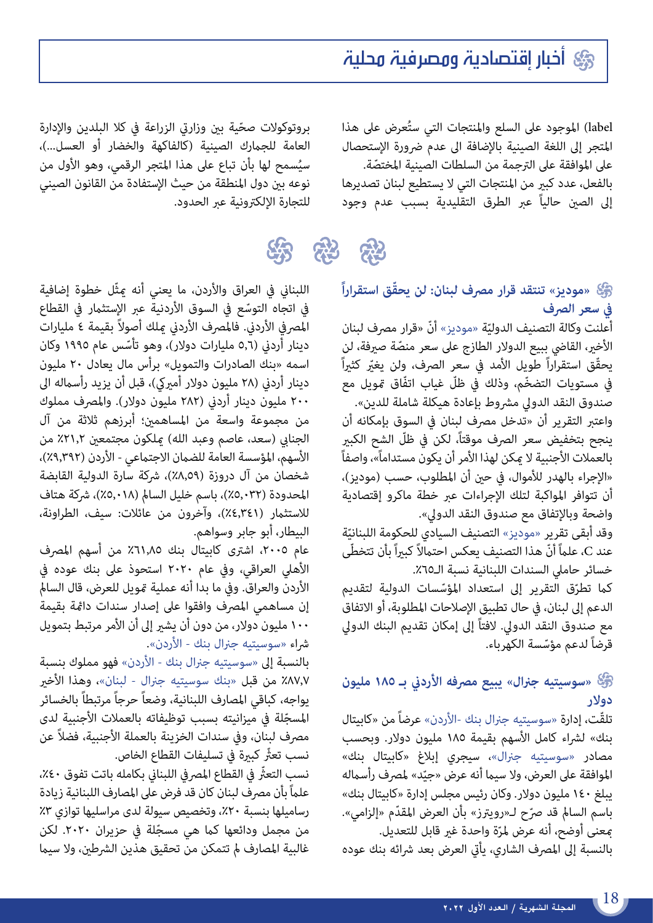### أخبار إقتصادية ومصرفية محلية

label) الموجود على السلع والمنتجات التي ستُعرض على هذا املتجر إىل اللغة الصينية باإلضافة اىل عدم رضورة اإلستحصال على الموافقة على الترجمة من السلطات الصينية المختصّة.<br>بالفعل، عدد كبير من المنتجات التي لا يستطيع لبنان تصديرها

إىل الصني حالياً عرب الطرق التقليدية بسبب عدم وجود

بروتوكولات صحّية بين وزارتي الزراعة في كلا البلدين والإدارة<br>العامة للجمارك الصينية (كالفاكهة والخضار أو العسل...)، سيُسمح لها بأن تباع على هذا المتجر الرقمي، وهو الأول من نوعه بني دول املنطقة من حيث اإلستفادة من القانون الصيني للتجارة الإلكترونية عبر الحدود.

# 练科

**ّ »موديز« تنتقد قرار مرصف لبنان: لن يحقق استقراراً يف سعر الرصف**

أعلنت وكالة التصنيف الدوليّة «موديز» أنّ «قرار مصرف لبنان<br>" الأخير، القاضي ببيع الدولار الطازج على سعر منصّة صيرفة، لن<br>يحقّق استقراراً طويل الأمد في سعر الصرف، ولن يغبّر كثبراً ّ يف مستويات التضخم، وذلك يف ظلّ غياب اتفّاق متويل مع صندوق النقد الدولي مشروط بإعادة هيكلة شاملة للدين». واعتبر التقرير أن «تدخل مصرف لبنان في السوق بإمكانه أن ينجح بتخفيض سعر الصرف موقتاً، لكن في ظلّ الشح الكبير بالعملات الأجنبية لا <sub>ي</sub>مكن لهذا الأمر أن يكون مستداماً»، واصفاً «الإجراء بالهدر للأموال، في حين أن المطلوب، حسب (موديز)، أن تتوافر املواكبة لتلك اإلجراءات عرب خطة ماكرو إقتصادية واضحة وباإلتفاق مع صندوق النقد الدويل«.

وقد أبقى تقرير «موديز» التصنيف السيادي للحكومة اللبنانيّة<br>-عند C، علماً أنّ هذا التصنيف يعكس احتمالاً كبيراً بأن تتخطّى خسائر حاملى السندات اللبنانية نسبة الـ٦٥٪.

كما تطرّق التقرير إلى استعداد المؤسّسات الدولية لتقديم الدعم إىل لبنان، يف حال تطبيق اإلصالحات املطلوبة، أو االتفاق مع صندوق النقد الدويل. الفتاً إىل إمكان تقديم البنك الدويل قرضاً ّ لدعم مؤسسة الكهرباء.

#### **»سوسيتيه جرنال« يبيع مرصفه األردين بـ 185 مليون دوالر**

تلقّت، إدارة «سوسيتيه جنرال بنك -الأردن» عرضاً من «كابيتال بنك» لشراء كامل الأسهم بقيمة ١٨٥ مليون دولار. وبحسب مصادر «سوسيتيه جنرال»، سيجري إبلاغ «كابيتال بنك» الموافقة على العرض، ولا سيما أنه عرض «جيّد» لمصرف رأسماله يبلغ 140 مليون دوالر. وكان رئيس مجلس إدارة »كابيتال بنك« باسم السالم قد صرّح لـ«رويترز» بأن العرض المقدّم «إلزامي». معنى أوضح، أنه عرض لمرّة واحدة غير قابل للتعديل.

بالنسبة إلى المصرف الشاري، يأتي العرض بعد شرائه بنك عوده

اللبناني في العراق والأردن، ما يعني أنه عثّل خطوة إضافية<br>في اتجاه التوسّع في السوق الأردنية عبر الإستثمار في القطاع المصرفي الأردني. فالمصرف الأردني ميلك أصولاً بقيمة ٤ مليارات دينار أردني (٥,٦ مليارات دولار)، وهو تأسّس عام ١٩٩٥ وكان اسمه »بنك الصادرات والتمويل« برأس مال يعادل 20 مليون دينار أردني (٢٨ مليون دولار أميركي)، قبل أن يزيد رأسماله الى 200 مليون دينار أردين )282 مليون دوالر(. واملرصف مملوك من مجموعة واسعة من املساهمني؛ أبرزهم ثالثة من آل الجنابي (سعد، عاصم وعبد الله) ملكون مجتمعين ٢١,٢٪ من الأسهم، المؤسسة العامة للضمان الاجتماعي - الأردن (٩,٣٩٢٪)، شخصان من آل دروزة (٨,٥٩٪)، شركة سارة الدولية القابضة المحدودة (٥,٠٣٢)، باسم خليل السالم (٥,٠١٨٪)، شركة هتاف للاستثمار (٤,٣٤١٪)، وآخرون من عائلات: سيف، الطراونة، البيطار، أبو جابر وسواهم.

عام ٢٠٠٥، اشترى كابيتال بنك ٦١٫٨٥٪ من أسهم المصرف األهيل العراقي، ويف عام 2020 استحوذ عىل بنك عوده يف الأردن والعراق. وفي ما بدا أنه عملية مّويل للعرض، قال السالم إن مساهمي املرصف وافقوا عىل إصدار سندات دامئة بقيمة 100 مليون دوالر، من دون أن يشري إىل أن األمر مرتبط بتمويل رشاء »سوسيتيه جرنال بنك - األردن«.

بالنسبة إلى «سوسيتيه جنرال بنك - الأردن» فهو مملوك بنسبة %87.7 من قبل »بنك سوسيتيه جرنال - لبنان«، وهذا األخري يواجه، كباقي المصارف اللبنانية، وضعاً حرجاً مرتبطاً بالخسائر<br>المسجّلة في ميزانيته بسبب توظيفاته بالعملات الأجنبية لدى مصرف لبنان، وفي سندات الخزينة بالعملة الأجنبية، فضلاً عن نسب تعثُّر كبيرة في تسليفات القطاع الخاص.

نسب التعثّر في القطاع المصر في اللبناني بكامله باتت تفوق ٤٠٪، علماً بأن مصرف لبنان كان قد فرض على المصارف اللبنانية زيادة رساميلها بنسبة ۲۰٪، وتخصيص سيولة لدى مراسليها توازي ۳٪<br>من مجمل ودائعها كما هي مسجّلة في حزيران ۲۰۲۰. لكن غالبية المصارف لم تتمكن من تحقيق هذين الشرطين، ولا سيما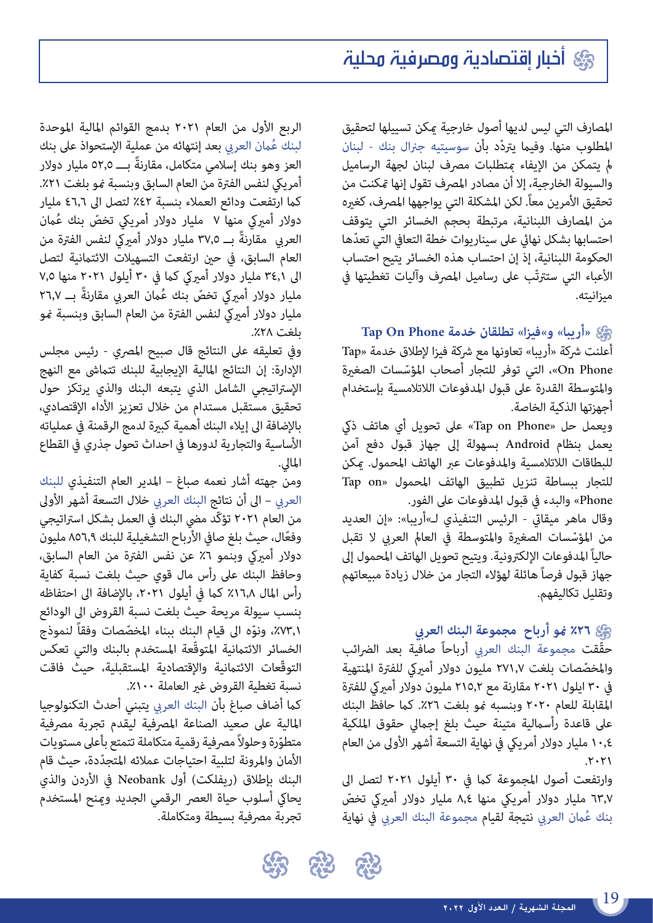المصارف التي ليس لديها أصول خارجية مكن تسييلها لتحقيق المطلوب منها. وفيما يتردّد بأن سوسيتيه جنرال بنك - لبنان لم يتمكن من الإيفاء متطلبات مصرف لبنان لجهة الرساميل والسيولة الخارجية، إلا أن مصادر المصرف تقول إنها تمكنت من تحقيق الأمرين معاً. لكن المشكلة التي يواجهها المصرف، كغيره من املصارف اللبنانية، مرتبطة بحجم الخسائر التي يتوقف احتسابها بشكل نهائي على سيناريوات خطة التعافي التي تعدّها الحكومة اللبنانية، إذ إن احتساب هذه الخسائر يتيح احتساب الأعباء التي ستترتّب على رساميل المصرف وآليات تغطيتها في ميزانيته.

#### **»أريبا« و«فيزا« تطلقان خدمة Phone On Tap**

أعلنت شركة «أريبا» تعاونها مع شركة فيزا لإطلاق خدمة «Tap Phone On ّ» ، التي توفر للتجار أصحاب املؤسسات الصغرية واملتوسطة القدرة عىل قبول املدفوعات الالتالمسية بإستخدام أجهزتها الذكية الخاصة.

ويعمل حل »Phone on Tap »عىل تحويل أي هاتف ذيك يعمل بنظام Android بسهولة إىل جهاز قبول دفع آمن للبطاقات الالتالمسية واملدفوعات عرب الهاتف املحمول. ميكن للتجار ببساطة تنزيل تطبيق الهاتف املحمول »on Tap Phone »والبدء يف قبول املدفوعات عىل الفور.

وقال ماهر ميقاتي - الرئيس التنفيذي لـ»أريبا»: «إن العديد<br>من المؤسّسات الصغيرة والمتوسطة في العالم العربي لا تقبل حالياً المدفوعات الإلكترونية. ويتيح تحويل الهاتف المحمول إلى جهاز قبول فرصاً هائلة لهؤالء التجار من خالل زيادة مبيعاتهم وتقليل تكاليفهم.

#### **%26 منو أرباح مجموعة البنك العريب**

حقّقت مجموعة البنك العربي أرباحاً صافية بعد الضرائب<br>والمخصّصات بلغت ٢٧١,٧ مليون دولار أميركى للفترة المنتهية في ٣٠ ايلول ٢٠٢١ مقارنة مع ٢١٥,٢ مليون دولار أميركي للفترة المقابلة للعام ٢٠٢٠ وبنسبه نمو بلغت ٢٦٪. كما حافظ البنك عىل قاعدة رأساملية متينة حيث بلغ إجاميل حقوق امللكية 10,4 مليار دوالر أمرييك يف نهاية التسعة أشهر األوىل من العام  $.7.71$ 

وارتفعت أصول المجموعة كما في ٣٠ أيلول ٢٠٢١ لتصل الى ٦٣٫٧ مليار دولار أمريكي منها ٨٫٤ مليار دولار أميركي تخصّ بنك عُمان العربي نتيجة لقيام مجموعة البنك العربي في نهاية

الربع األول من العام 2021 بدمج القوائم املالية املوحدة لبنك عُمان العربي بعد إنتهائه من عملية الإستحواذ على بنك<br>العز وهو بنك إسلامي متكامل، مقارنةً بــــ 0۲٫0 مليار دولار أمريكي لنفس الفترة من العام السابق وبنسبة غو بلغت ٢١٪. كما ارتفعت ودائع العملاء بنسبة ٤٢٪ لتصل الى ٤٦,٦ مليار دولار أميركي منها ٧ ً مليار دولار أمريكي تخصّ بنك عُمان ً العريب مقارنة بــ 37,5 مليار دوالر أمرييك لنفس الفرتة من العام السابق، في حين ارتفعت التسهيلات الائتمانية لتصل الى ٣٤,١ مليار دولار أميركي كما في ٣٠ أيلول ٢٠٢١ منها ٧,٥<br>مليار دولار أميركي تخصّ بنك عُمان العربي مقارنةً بـــ ٢٦,٧ مليار دولار أميركي لنفس الفترة من العام السابق وبنسبة مُو بلغت .%28

وفي تعليقه على النتائج قال صبيح المصري - رئيس مجلس الإدارة: إن النتائج المالية الإيجابية للبنك تتماشى مع النهج اإلسرتاتيجي الشامل الذي يتبعه البنك والذي يرتكز حول تحقيق مستقبل مستدام من خالل تعزيز األداء اإلقتصادي، باإلضافة اىل إيالء البنك أهمية كبرية لدمج الرقمنة يف عملياته األساسية والتجارية لدورها يف احداث تحول جذري يف القطاع املايل.

ومن جهته أشار نعمه صباغ – املدير العام التنفيذي للبنك العربي – الى أن نتائج البنك العربي خلال التسعة أشهر الأولى من العام ٢٠٢١ تؤكّد مضي البنك في العمل بشكل استراتيجي<br>وفعّال، حيث بلغ صافي الأرباح التشغيلية للبنك ٨٥٦,٩ مليون دولار أميركي وبنمو ٦٪ عن نفس الفترة من العام السابق، وحافظ البنك عىل رأس مال قوي حيث بلغت نسبة كفاية رأس المال ٦٠٨٪ كما في أيلول ٢٠٢١، بالإضافة الى احتفاظه بنسب سيولة مريحة حيث بلغت نسبة القروض اىل الودائع 73,1٪، ونوّه الى قيام البنك ببناء المخصّصات وفقاً لنموذج الخسائر الائتمانية المتوقّعة المستخدم بالبنك والتي تعكس التوقّعات الائتمانية والإقتصادية المستقبلية، حيث فاقت نسبة تغطية القروض غير العاملة ١٠٠٪.

كما أضاف صباغ بأن البنك العربي يتبنى أحدث التكنولوجيا املالية عىل صعيد الصناعة املرصفية ليقدم تجربة مرصفية متطوّرة وحلولاً مصرفية رقمية متكاملة تتمتع بأعلى مستويات<br>الأمان والمرونة لتلبية احتياجات عملائه المتجدّدة، حيث قام البنك بإطلاق (ريفلكت) أول Neobank في الأردن والذي يحاكي أسلوب حياة العصر الرقمي الجديد ومنح المستخدم تجربة مرصفية بسيطة ومتكاملة.

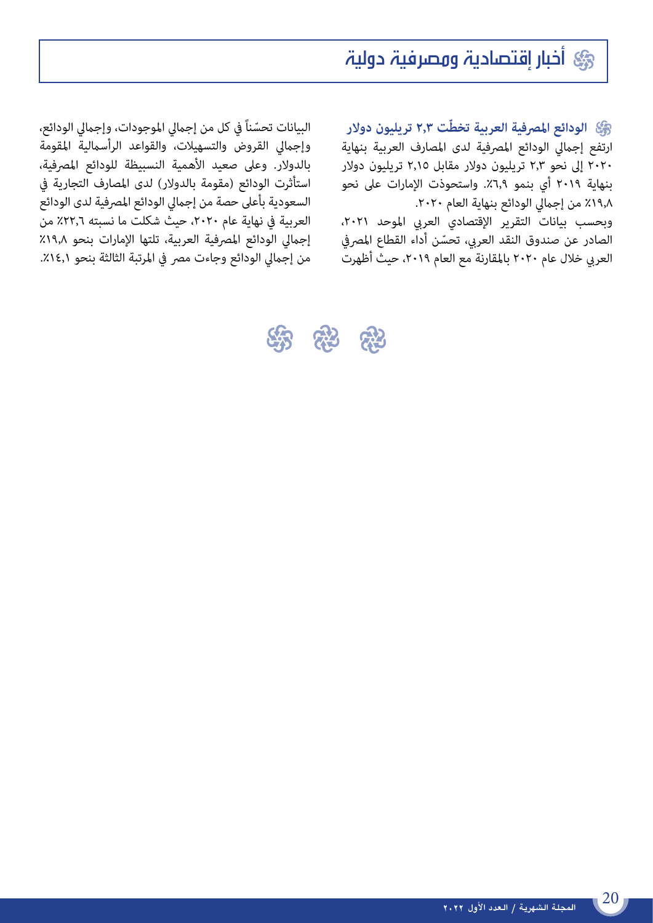## أخبار إقتصادية ومصرفية دولية

الودائع المصرفية العربية تخط**ّ**ت ٢٫٣ تريليون دولار ارتفع إجمالى الودائع المصرفية لدى المصارف العربية بنهاية 2020 إىل نحو 2.3 تريليون دوالر مقابل 2.15 تريليون دوالر بنهاية ٢٠١٩ أي بنمو ٦,٩٪. واستحوذت الإمارات على نحو .٢٠٢٨ من إجمالي الودائع بنهاية العام ٢٠٢٠.

وبحسب بيانات التقرير الإقتصادي العربي الموحد ٢٠٢١،<br>الصادر عن صندوق النقد العربي، تحسّن أداء القطاع المصرفي العربي خلال عام ٢٠٢٠ بالمقارنة مع العام ٢٠١٩، حيث أظهرت

البيانات تحسّناً في كل من إجمالي الموجودات، وإجمالي الودائع،<br>وإجمالي القروض والتسهيلات، والقواعد الرأسمالية المقومة بالدوالر. وعىل صعيد األهمية النسبيظة للودائع املرصفية، استأثرت الودائع (مقومة بالدولار) لدى المصارف التجارية في السعودية بأعلى حصة من إجمالي الودائع المصرفية لدى الودائع العربية في نهاية عام ٢٠٢٠، حيث شكلت ما نسبته ٢٢,٦٪ من إجاميل الودائع املرصفية العربية، تلتها اإلمارات بنحو %19.8 من إجمالي الودائع وجاءت مصر في المرتبة الثالثة بنحو ٤,١٤.1.

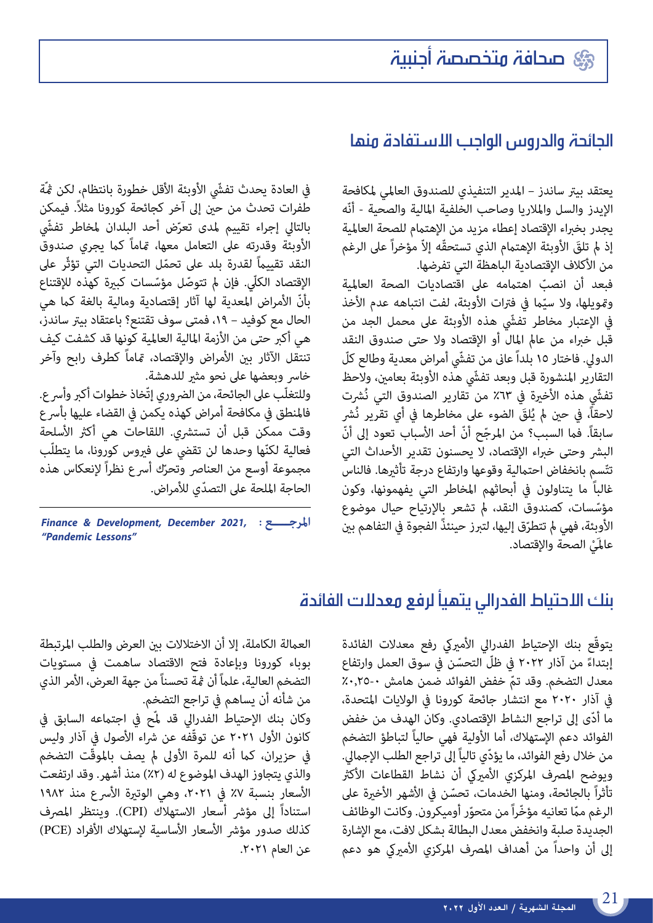### صحافة متخصصة أجنبية

### الجائحة والدروس الواجب االستفادة منها

يعتقد بيرت ساندز – املدير التنفيذي للصندوق العاملي ملكافحة الإيدز والسل والملاريا وصاحب الخلفية المالية والصحية - أنّه يجدر بخبراء الإقتصاد إعطاء مزيد من الإهتمام للصحة العالمية إذ لم تلقَ الأوبئة الإهتمام الذي تستحقَّه إلاّ مؤخراً على الرغم<br>من الأكلاف الإقتصادية الباهظة التي تفرضها.<br>فبعد أن انصبّ اهتمامه على اقتصاديات الصحة العالمية

فبعد أن انصبّ اهتمامه على اقتصاديات الصحة العالمية<br>وتمويلها، ولا سيّما في فترات الأوبئة، لفت انتباهه عدم الأخذ يف اإلعتبار مخاطر تف ّش هذه األوبئة عىل محمل الجد من .<br>قبل خبراء من عالم المال أو الإقتصاد ولا حتى صندوق النقد الدولي. فاختار ١٥ بلداً عانى من تفشّي أمراض معدية وطالع كلّ التقارير المنشورة قبل وبعد تفشّي هذه الأوبئة بعامين، ولاحظ تفشّي هذه الأخيرة في ٦٣٪ من تقارير الصندوق التي نُشرت لاحقاً، في حين لم يُلقَ الضوء على مخاطرها في أي تقرير نُشر سابقاً. فما السبب؟ من المرجّح أنّ أحد الأسباب تعود إلى أنّ البشر وحتى خبراء الإقتصاد، لا يحسنون تقدير الأحداث التي تتّسمِ بانخفاض احتمالية وقوعها وارتفاع درجة تأثيرها. فالناس غالباً ما يتناولون في أبحاثهم المخاطر التي يفهمونها، وكون<br>مؤسّسات، كصندوق النقد، لم تشعر بالإرتياح حيال موضوع مؤسِّسات، كصندوق النقد، لم تشعر بالإرتياح حيال موضوع<br>الأوبِئة، فهي لم تتطرّق إليها، لتبرز حينئذً الفجوة في التفاهم بين عالمَيْ الصحة والإقتصاد.

في العادة يحدث تفشّى الأوبئة الأقل خطورة بانتظام، لكن ڠّة طفرات تحدث من حني إىل آخر كجائحة كورونا مثال.ً فيمكن بالتالي إجراء تقييم لمدى تعرّض أحد البلدان لمخاطر تفشّي<br>. الأوبئة وقدرته على التعامل معها، مّاماً كما يجري صندوق النقد تقييامً ّ لقدرة بلد عىل تحمل التحديات التي تؤثّر عىل الإقتصاد الكلّى. فإن لم تتوصّل مؤسّسات كبيرة كهذه للإقتناع بأنّ الأمراض المعدية لها آثار إقتصادية ومالية بالغة كما هي الحال مع كوفيد – ١٩، فمتى سوف تقتنع؟ باعتقاد بيتر ساندز، هي أكرب حتى من األزمة املالية العاملية كونها قد كشفت كيف .<br>تنتقل الآثار بين الأمراض والإقتصاد، <del>م</del>ّاماً كطرف رابح وآخر خاسر وبعضها على نحو مثير للدهشة. وللتغلّب على الجائحة، من الضروري إتّخاذ خطوات أكبر وأسرع. فالمنطق فى مكافحة أمراض كهذه يكمن فى القضاء عليها بأسرع وقت ممكن قبل أن تستشري. اللقاحات هي أكثر الأسلحة فعالية لكنّها وحدها لن تقضى على فيروس كورونا، ما يتطلّب فعالية لكنّها وحدها لن تقضي على فيروس كورونا، ما يتطلّب<br>مجموعة أوسع من العناصر وتحرّك أسرع نظراً لإنعكاس هذه ّ الحاجة امللحة عىل التصدي لألمراض.

 **املرجـــــع :**  *Finance & Development, December 2021, "Pandemic Lessons"* 

### بنك االحتياط الفدرالي يتهيأ لرفع معدالت الفائدة

يتوقّع بنك الإحتياط الفدرالي الأميركي رفع معدلات الفائدة إبتداءً من آذار ٢٠٢٢ في ظلّ التحسّن في سوق العمل وارتفاع معدل التضخم. وقد تمّ خفض الفوائد ضمن هامش ٠-٢٥.<br>في آذار ٢٠٢٠ مع انتشار جائحة كورونا في الولايات المتحدة، ّ ما أدى إىل تراجع النشاط اإلقتصادي. وكان الهدف من خفض الفوائد دعم الإستهلاك، أما الأولية فهي حالياً لتباطؤ التضخم من خلال رفع الفوائد، ما يؤدّي تالياً إلى تراجع الطلب الإجمالي. ويوضح المصرف المركزي الأميركي أن نشاط القطاعات الأكثر تأثراً بالجائحة، ومنها الخدمات، تحسّن في الأشهر الأخيرة على الرغم ممّا تعانيه مؤخّراً من متحوّر أوميكرون. وكانت الوظائف الجديدة صلبة وانخفض معدل البطالة بشكل الفت، مع اإلشارة إلى أن واحداً من أهداف المصرف المركزي الأميركي هو دعم

العمالة الكاملة، إلا أن الاختلالات بين العرض والطلب المرتبطة بوباء كورونا وبإعادة فتح االقتصاد ساهمت يف مستويات التضخم العالية، علامً أن مثة تحسناً من جهة العرض، األمر الذي من شأنه أن يساهم يف تراجع التضخم. وكان بنك الإحتياط الفدرالى قد لمّح في اجتماعه السابق في كانون الأول ٢٠٢١ عن توقّفه عن شراء الأصول في آذار وليس في حزيران، كما أنه للمرة الأولى لم يصف بالموقّت التضخم والذي يتجاوز الهدف الموضوع له (٢٪) منذ أشهر. وقد ارتفعت الأسعار بنسبة ٧٪ في ٢٠٢١، وهي الوتيرة الأسرع منذ ١٩٨٢ استناداً إلى مؤشر أسعار الاستهلاك (CPI). وينتظر المصرف كذلك صدور مؤشر الأسعار الأساسية لإستهلاك الأفراد (PCE) عن العام ٢٠٢١.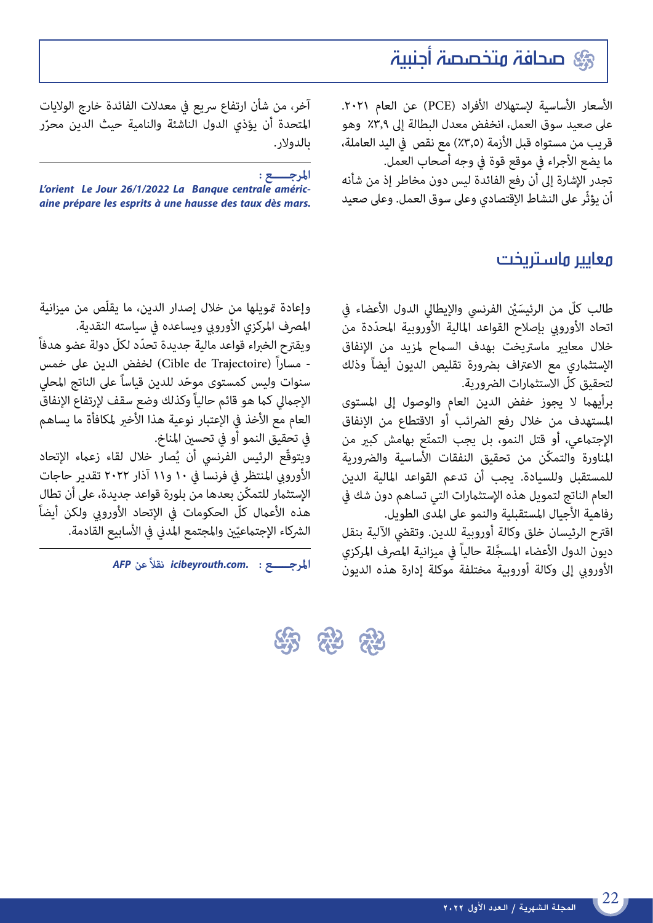### صحافة متخصصة أجنبية

الأسعار الأساسية لإستهلاك الأفراد (PCE) عن العام ٢٠٢١. عىل صعيد سوق العمل، انخفض معدل البطالة إىل %3,9 وهو قريب من مستواه قبل الأزمة (٣,٥٪) مع نقص في اليد العاملة، ما يضع األجراء يف موقع قوة يف وجه أصحاب العمل. تجدر اإلشارة إىل أن رفع الفائدة ليس دون مخاطر إذ من شأنه

أن يؤثّر عىل النشاط اإلقتصادي وعىل سوق العمل. وعىل صعيد

### معايير ماستريخت

طالب كلّ من الرئيسَيْن الفرنسي والإيطالي الدول الأعضاء في<br>اتحاد الأوروبي بإصلاح القواعد المالية الأوروبية المحدّدة من خلال معايير ماستريخت بهدف السماح لمزيد من الإنفاق الإستثماري مع الاعتراف بضرورة تقليص الديون أيضاً وذلك لتحقيق كلّ الاستثمارات الضرورية.

برأيهام ال يجوز خفض الدين العام والوصول إىل املستوى املستهدف من خالل رفع الرضائب أو االقتطاع من اإلنفاق الإجتماعي، أو قتل النمو، بل يجب التمتّع بهامش كبير من المناورة والتمكّن من تحقيق النفقات الأساسية والضرورية للمستقبل وللسيادة. يجب أن تدعم القواعد املالية الدين العام الناتج لتمويل هذه الإستثمارات التي تساهم دون شك في رفاهية الأجيال المستقبلية والنمو على المدى الطويل.

اقرتح الرئيسان خلق وكالة أوروبية للدين. وتقيض اآللية بنقل ديون الدول الأعضاء المسجَّلة حالياً في ميزانية المصرف المركزي<br>الأوروبي إلى وكالة أوروبية مختلفة موكلة إدارة هذه الديون

آخر، من شأن ارتفاع سريع في معدلات الفائدة خارج الولايات المتحدة أن يؤذي الدول الناشئة والنامية حيث الدين محرّر بالدولار.

**املرجـــــع :** 

*L'orient Le Jour 26/1/2022 La Banque centrale américaine prépare les esprits à une hausse des taux dès mars.*

وإعادة مّويلها من خلال إصدار الدين، ما يقلّص من ميزانية المصرف المركزي الأوروبي ويساعده في سياسته النقدية.

ّ ويقرتح الخرباء قواعد مالية جديدة تحدد لكلّ دولة عضو هدفاً - مساراً (Cible de Trajectoire) لخفض الدين على خمس<br>سنوات وليس كمستوى موحّد للدين قياساً على الناتج المحلي الإجمالي كما هو قائم حالياً وكذلك وضع سقف لإرتفاع الإنفاق العام مع الأخذ في الإعتبار نوعية هذا الأخير لمكافأة ما يساهم يف تحقيق النمو أو يف تحسني املناخ.

ويتوقّع الرئيس الفرنسي أن يُصار خلال لقاء زعماء الإتحاد األورويب املنتظر يف فرنسا يف 10 و11 آذار 2022 تقدير حاجات الإستثمار للتمكّن بعدها من بلورة قواعد جديدة، على أن تطال هذه الأعمال كلّ الحكومات في الإتحاد الأوروبي ولكن أيضاً الشركاء الإجتماعيّين والمجتمع المدني في الأسابيع القادمة.<br>.

**املرجـــــع :**   *AFP عن نقال ً icibeyrouth.com.*

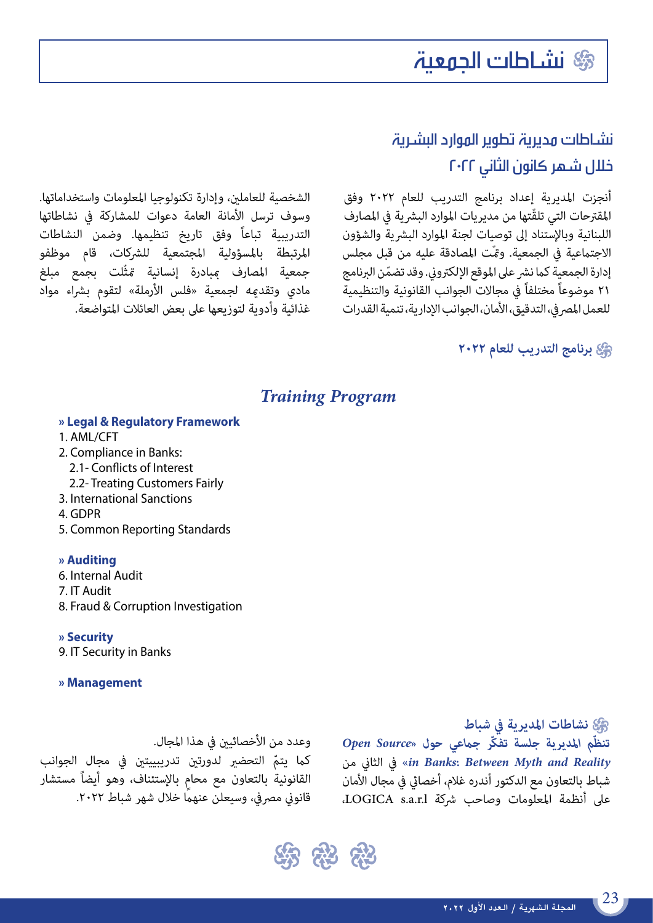# نشاطات الجمعية

### نشاطات مديرية تطوير الموارد البشرية خالل شهر كانون الثاني ٢٠٢٢

أنجزت املديرية إعداد برنامج التدريب للعام 2022 وفق المقترحات التي تلقّتها من مديريات الموارد البشرية في المصارف اللبنانية وبالإستناد إلى توصيات لجنة الموارد البشرية والشؤون الاجتماعية في الجمعية. ومّت المصادقة عليه من قبل مجلس إدارة الجمعية كما نشر على الموقع الإلكتروني. وقد تضمّن البرنامج<br>٢١ موضوعاً مختلفاً في مجالات الجوانب القانونية والتنظيمية للعمل المصر في، التدقيق، الأمان، الجوانب الإدارية، تنمية القدرات

الشخصية للعاملني، وإدارة تكنولوجيا املعلومات واستخداماتها. وسوف ترسل األمانة العامة دعوات للمشاركة يف نشاطاتها التدريبية تباعاً وفق تاريخ تنظيمها. وضمن النشاطات املرتبطة باملسؤولية املجتمعية للرشكات، قام موظفو جمعية املصارف مببادرة إنسانية متثّلت بجمع مبلغ مادي وتقد<sub>ك</sub>ه لجمعية «فلس الأرملة» لتقوم بشراء مواد غذائية وأدوية لتوزيعها عىل بعض العائالت املتواضعة.

# **برنامج التدريب للعام 2022**

#### *Training Program*

#### **» Legal & Regulatory Framework**

- 1. AML/CFT
- 2. Compliance in Banks:
- 2.1- Conflicts of Interest
- 2.2- Treating Customers Fairly
- 3. International Sanctions
- 4. GDPR
- 5. Common Reporting Standards

#### **» Auditing**

- 6. Internal Audit
- 7. IT Audit
- 8. Fraud & Corruption Investigation

#### **» Security**

9. IT Security in Banks

#### **» Management**

# وعدد من الأخصائين في هذا المجال.

كما يتمّ التحضير لدورتين تدريبييتين في مجال الجوانب<br>القانونية بالتعاون مع محام بالإستئناف، وهو أيضاً مستشار قانوني مصرفي، وسيعلن عنهماً خلال شهر شباط ٢٠٢٢.

 **نشاطات املديرية يف شباط** *ّم املديرية جلسة تفكّر جامعي حول »Source Open تنظ* من الثاين يف*« in Banks: Between Myth and Reality* شباط بالتعاون مع الدكتور أندره غالم، أخصايئ يف مجال األمان عىل أنظمة املعلومات وصاحب رشكة l.r.a.s LOGICA،